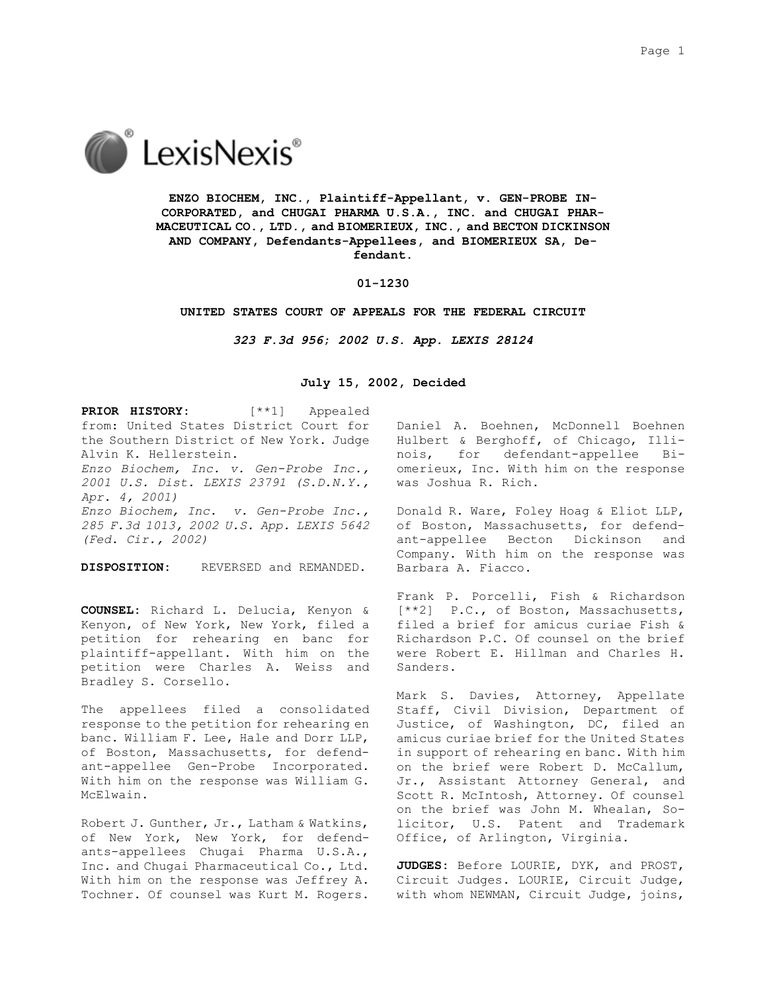

**ENZO BIOCHEM, INC., Plaintiff-Appellant, v. GEN-PROBE IN-CORPORATED, and CHUGAI PHARMA U.S.A., INC. and CHUGAI PHAR-MACEUTICAL CO., LTD., and BIOMERIEUX, INC., and BECTON DICKINSON AND COMPANY, Defendants-Appellees, and BIOMERIEUX SA, Defendant.**

**01-1230** 

**UNITED STATES COURT OF APPEALS FOR THE FEDERAL CIRCUIT**

*323 F.3d 956***;** *2002 U.S. App. LEXIS 28124*

#### **July 15, 2002, Decided**

**PRIOR HISTORY:** [\*\*1] Appealed from: United States District Court for the Southern District of New York. Judge Alvin K. Hellerstein. *Enzo Biochem, Inc. v. Gen-Probe Inc., 2001 U.S. Dist. LEXIS 23791 (S.D.N.Y., Apr. 4, 2001) Enzo Biochem, Inc. v. Gen-Probe Inc., 285 F.3d 1013, 2002 U.S. App. LEXIS 5642 (Fed. Cir., 2002)*

**DISPOSITION:** REVERSED and REMANDED.

**COUNSEL:** Richard L. Delucia, Kenyon & Kenyon, of New York, New York, filed a petition for rehearing en banc for plaintiff-appellant. With him on the petition were Charles A. Weiss and Bradley S. Corsello.

The appellees filed a consolidated response to the petition for rehearing en banc. William F. Lee, Hale and Dorr LLP, of Boston, Massachusetts, for defendant-appellee Gen-Probe Incorporated. With him on the response was William G. McElwain.

Robert J. Gunther, Jr., Latham & Watkins, of New York, New York, for defendants-appellees Chugai Pharma U.S.A., Inc. and Chugai Pharmaceutical Co., Ltd. With him on the response was Jeffrey A. Tochner. Of counsel was Kurt M. Rogers. Daniel A. Boehnen, McDonnell Boehnen Hulbert & Berghoff, of Chicago, Illi-<br>nois, for defendant-appellee Binois, for defendant-appellee omerieux, Inc. With him on the response was Joshua R. Rich.

Donald R. Ware, Foley Hoag & Eliot LLP, of Boston, Massachusetts, for defend-<br>ant-appellee Becton Dickinson and ant-appellee Becton Dickinson Company. With him on the response was Barbara A. Fiacco.

Frank P. Porcelli, Fish & Richardson [\*\*2] P.C., of Boston, Massachusetts, filed a brief for amicus curiae Fish & Richardson P.C. Of counsel on the brief were Robert E. Hillman and Charles H. Sanders.

Mark S. Davies, Attorney, Appellate Staff, Civil Division, Department of Justice, of Washington, DC, filed an amicus curiae brief for the United States in support of rehearing en banc. With him on the brief were Robert D. McCallum, Jr., Assistant Attorney General, and Scott R. McIntosh, Attorney. Of counsel on the brief was John M. Whealan, Solicitor, U.S. Patent and Trademark Office, of Arlington, Virginia.

**JUDGES:** Before LOURIE, DYK, and PROST, Circuit Judges. LOURIE, Circuit Judge, with whom NEWMAN, Circuit Judge, joins,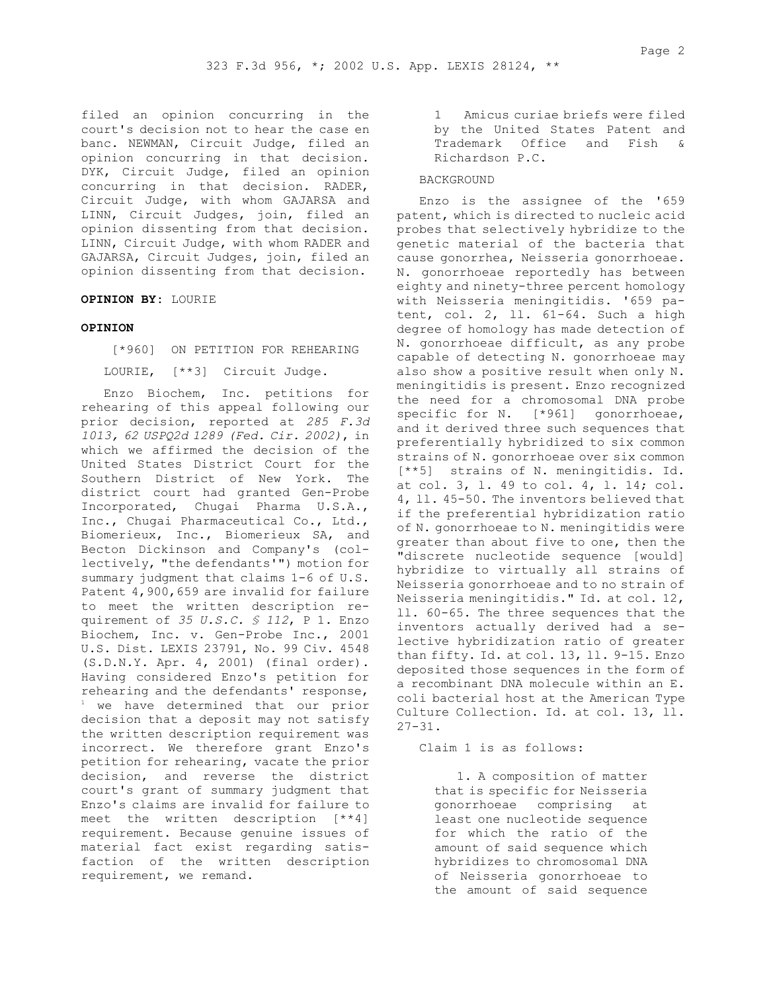filed an opinion concurring in the court's decision not to hear the case en banc. NEWMAN, Circuit Judge, filed an opinion concurring in that decision. DYK, Circuit Judge, filed an opinion concurring in that decision. RADER, Circuit Judge, with whom GAJARSA and LINN, Circuit Judges, join, filed an opinion dissenting from that decision. LINN, Circuit Judge, with whom RADER and GAJARSA, Circuit Judges, join, filed an opinion dissenting from that decision.

## **OPINION BY:** LOURIE

## **OPINION**

[\*960] ON PETITION FOR REHEARING LOURIE, [\*\*3] Circuit Judge.

Enzo Biochem, Inc. petitions for rehearing of this appeal following our prior decision, reported at *285 F.3d 1013, 62 USPQ2d 1289 (Fed. Cir. 2002)*, in which we affirmed the decision of the United States District Court for the Southern District of New York. The district court had granted Gen-Probe Incorporated, Chugai Pharma U.S.A., Inc., Chugai Pharmaceutical Co., Ltd., Biomerieux, Inc., Biomerieux SA, and Becton Dickinson and Company's (collectively, "the defendants'") motion for summary judgment that claims 1-6 of U.S. Patent 4,900,659 are invalid for failure to meet the written description requirement of *35 U.S.C. § 112*, P 1. Enzo Biochem, Inc. v. Gen-Probe Inc., 2001 U.S. Dist. LEXIS 23791, No. 99 Civ. 4548 (S.D.N.Y. Apr. 4, 2001) (final order). Having considered Enzo's petition for rehearing and the defendants' response, <sup>1</sup> we have determined that our prior decision that a deposit may not satisfy the written description requirement was incorrect. We therefore grant Enzo's petition for rehearing, vacate the prior decision, and reverse the district court's grant of summary judgment that Enzo's claims are invalid for failure to meet the written description [\*\*4] requirement. Because genuine issues of material fact exist regarding satisfaction of the written description requirement, we remand.

1 Amicus curiae briefs were filed by the United States Patent and Trademark Office and Fish & Richardson P.C.

## BACKGROUND

Enzo is the assignee of the '659 patent, which is directed to nucleic acid probes that selectively hybridize to the genetic material of the bacteria that cause gonorrhea, Neisseria gonorrhoeae. N. gonorrhoeae reportedly has between eighty and ninety-three percent homology with Neisseria meningitidis. '659 patent, col. 2, ll. 61-64. Such a high degree of homology has made detection of N. gonorrhoeae difficult, as any probe capable of detecting N. gonorrhoeae may also show a positive result when only N. meningitidis is present. Enzo recognized the need for a chromosomal DNA probe specific for N. [\*961] gonorrhoeae, and it derived three such sequences that preferentially hybridized to six common strains of N. gonorrhoeae over six common [\*\*5] strains of N. meningitidis. Id. at col. 3, l. 49 to col. 4, l. 14; col. 4, ll. 45-50. The inventors believed that if the preferential hybridization ratio of N. gonorrhoeae to N. meningitidis were greater than about five to one, then the "discrete nucleotide sequence [would] hybridize to virtually all strains of Neisseria gonorrhoeae and to no strain of Neisseria meningitidis." Id. at col. 12, ll. 60-65. The three sequences that the inventors actually derived had a selective hybridization ratio of greater than fifty. Id. at col. 13, ll. 9-15. Enzo deposited those sequences in the form of a recombinant DNA molecule within an E. coli bacterial host at the American Type Culture Collection. Id. at col. 13, ll.  $27 - 31$ .

## Claim 1 is as follows:

 1. A composition of matter that is specific for Neisseria gonorrhoeae comprising at least one nucleotide sequence for which the ratio of the amount of said sequence which hybridizes to chromosomal DNA of Neisseria gonorrhoeae to the amount of said sequence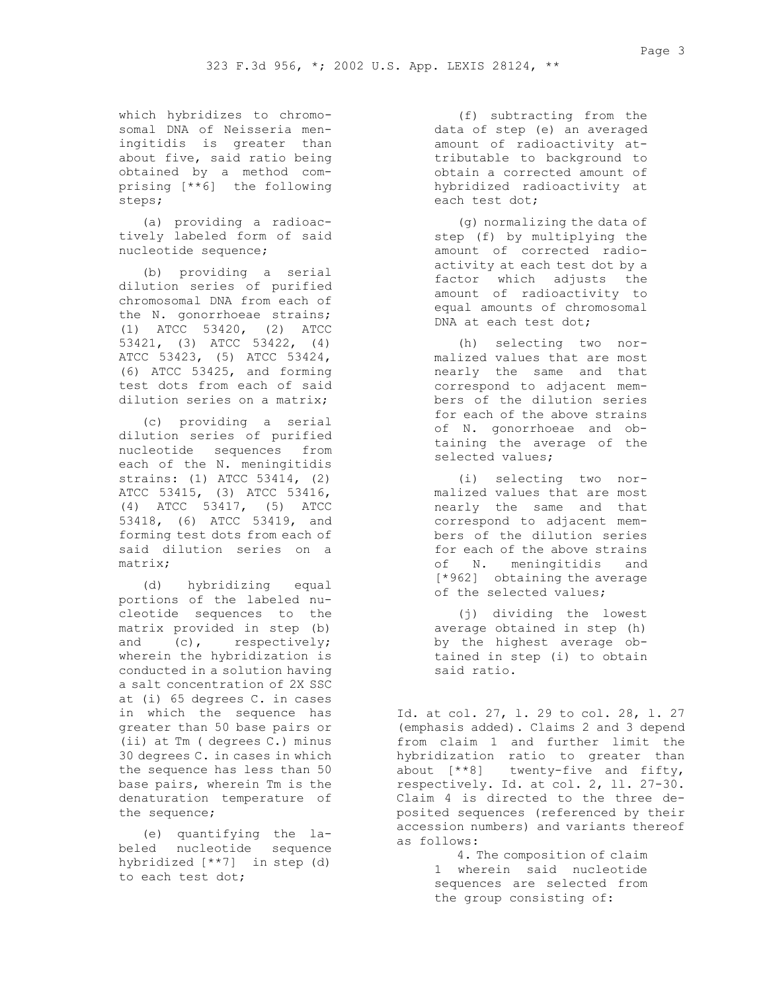which hybridizes to chromosomal DNA of Neisseria meningitidis is greater than about five, said ratio being obtained by a method comprising [\*\*6] the following steps;

(a) providing a radioactively labeled form of said nucleotide sequence;

(b) providing a serial dilution series of purified chromosomal DNA from each of the N. gonorrhoeae strains; (1) ATCC 53420, (2) ATCC 53421, (3) ATCC 53422, (4) ATCC 53423, (5) ATCC 53424, (6) ATCC 53425, and forming test dots from each of said dilution series on a matrix;

(c) providing a serial dilution series of purified nucleotide sequences from each of the N. meningitidis strains: (1) ATCC 53414, (2) ATCC 53415, (3) ATCC 53416, (4) ATCC 53417, (5) ATCC 53418, (6) ATCC 53419, and forming test dots from each of said dilution series on a matrix;

(d) hybridizing equal portions of the labeled nucleotide sequences to the matrix provided in step (b) and (c), respectively; wherein the hybridization is conducted in a solution having a salt concentration of 2X SSC at (i) 65 degrees C. in cases in which the sequence has greater than 50 base pairs or (ii) at Tm ( degrees C.) minus 30 degrees C. in cases in which the sequence has less than 50 base pairs, wherein Tm is the denaturation temperature of the sequence;

(e) quantifying the labeled nucleotide sequence hybridized [\*\*7] in step (d) to each test dot;

(f) subtracting from the data of step (e) an averaged amount of radioactivity attributable to background to obtain a corrected amount of hybridized radioactivity at each test dot;

(g) normalizing the data of step (f) by multiplying the amount of corrected radioactivity at each test dot by a factor which adjusts the amount of radioactivity to equal amounts of chromosomal DNA at each test dot;

(h) selecting two normalized values that are most nearly the same and that correspond to adjacent members of the dilution series for each of the above strains of N. gonorrhoeae and obtaining the average of the selected values;

(i) selecting two normalized values that are most nearly the same and that correspond to adjacent members of the dilution series for each of the above strains of N. meningitidis and [\*962] obtaining the average of the selected values;

(j) dividing the lowest average obtained in step (h) by the highest average obtained in step (i) to obtain said ratio.

Id. at col. 27, l. 29 to col. 28, l. 27 (emphasis added). Claims 2 and 3 depend from claim 1 and further limit the hybridization ratio to greater than about [\*\*8] twenty-five and fifty, respectively. Id. at col. 2, ll. 27-30. Claim 4 is directed to the three deposited sequences (referenced by their accession numbers) and variants thereof as follows:

 4. The composition of claim 1 wherein said nucleotide sequences are selected from the group consisting of: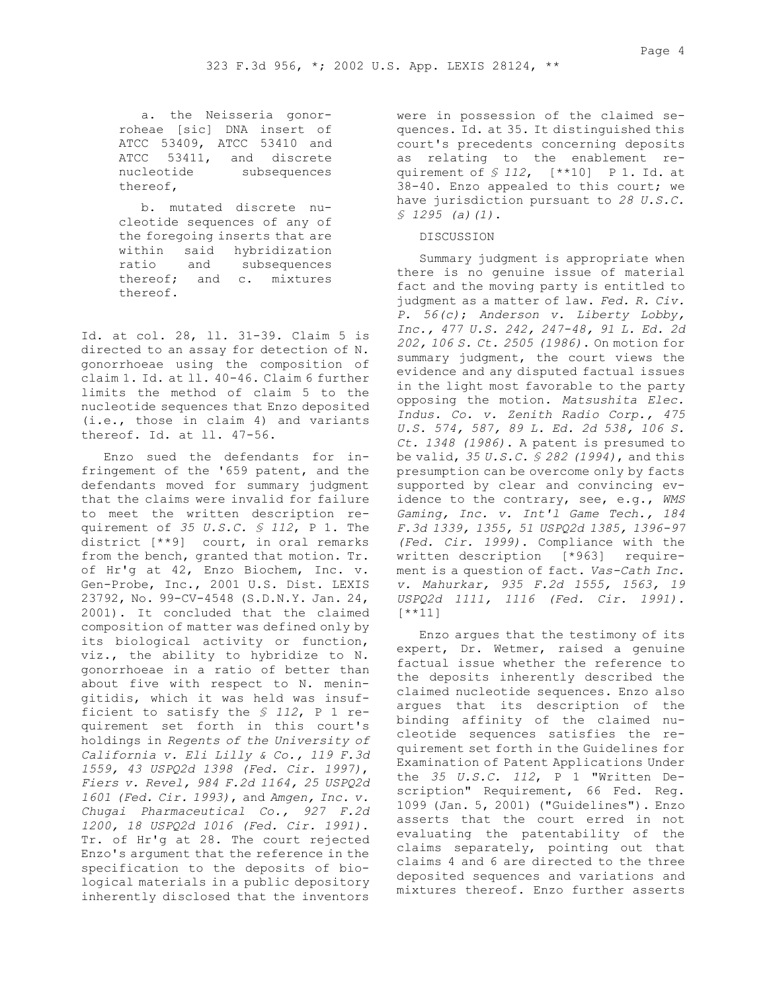a. the Neisseria gonorroheae [sic] DNA insert of ATCC 53409, ATCC 53410 and ATCC 53411, and discrete<br>nucleotide subsequences subsequences thereof,

b. mutated discrete nucleotide sequences of any of the foregoing inserts that are within said hybridization<br>ratio and subsequences ratio and subsequences thereof; and c. mixtures thereof.

Id. at col. 28, ll. 31-39. Claim 5 is directed to an assay for detection of N. gonorrhoeae using the composition of claim 1. Id. at ll. 40-46. Claim 6 further limits the method of claim 5 to the nucleotide sequences that Enzo deposited (i.e., those in claim 4) and variants thereof. Id. at ll. 47-56.

Enzo sued the defendants for infringement of the '659 patent, and the defendants moved for summary judgment that the claims were invalid for failure to meet the written description requirement of *35 U.S.C. § 112*, P 1. The district [\*\*9] court, in oral remarks from the bench, granted that motion. Tr. of Hr'g at 42, Enzo Biochem, Inc. v. Gen-Probe, Inc., 2001 U.S. Dist. LEXIS 23792, No. 99-CV-4548 (S.D.N.Y. Jan. 24, 2001). It concluded that the claimed composition of matter was defined only by its biological activity or function, viz., the ability to hybridize to N. gonorrhoeae in a ratio of better than about five with respect to N. meningitidis, which it was held was insufficient to satisfy the *§ 112*, P 1 requirement set forth in this court's holdings in *Regents of the University of California v. Eli Lilly & Co., 119 F.3d 1559, 43 USPQ2d 1398 (Fed. Cir. 1997)*, *Fiers v. Revel, 984 F.2d 1164, 25 USPQ2d 1601 (Fed. Cir. 1993)*, and *Amgen, Inc. v. Chugai Pharmaceutical Co., 927 F.2d 1200, 18 USPQ2d 1016 (Fed. Cir. 1991)*. Tr. of Hr'g at 28. The court rejected Enzo's argument that the reference in the specification to the deposits of biological materials in a public depository inherently disclosed that the inventors were in possession of the claimed sequences. Id. at 35. It distinguished this court's precedents concerning deposits as relating to the enablement requirement of *§ 112*, [\*\*10] P 1. Id. at 38-40. Enzo appealed to this court; we have jurisdiction pursuant to *28 U.S.C. § 1295 (a)(1)*.

### DISCUSSION

Summary judgment is appropriate when there is no genuine issue of material fact and the moving party is entitled to judgment as a matter of law. *Fed. R. Civ. P. 56(c)*; *Anderson v. Liberty Lobby, Inc., 477 U.S. 242, 247-48, 91 L. Ed. 2d 202, 106 S. Ct. 2505 (1986)*. On motion for summary judgment, the court views the evidence and any disputed factual issues in the light most favorable to the party opposing the motion. *Matsushita Elec. Indus. Co. v. Zenith Radio Corp., 475 U.S. 574, 587, 89 L. Ed. 2d 538, 106 S. Ct. 1348 (1986)*. A patent is presumed to be valid, *35 U.S.C. § 282 (1994)*, and this presumption can be overcome only by facts supported by clear and convincing evidence to the contrary, see, e.g., *WMS Gaming, Inc. v. Int'l Game Tech., 184 F.3d 1339, 1355, 51 USPQ2d 1385, 1396-97 (Fed. Cir. 1999)*. Compliance with the written description [\*963] requirement is a question of fact. *Vas-Cath Inc. v. Mahurkar, 935 F.2d 1555, 1563, 19 USPQ2d 1111, 1116 (Fed. Cir. 1991).* [\*\*11]

Enzo argues that the testimony of its expert, Dr. Wetmer, raised a genuine factual issue whether the reference to the deposits inherently described the claimed nucleotide sequences. Enzo also argues that its description of the binding affinity of the claimed nucleotide sequences satisfies the requirement set forth in the Guidelines for Examination of Patent Applications Under the *35 U.S.C. 112*, P 1 "Written Description" Requirement, 66 Fed. Reg. 1099 (Jan. 5, 2001) ("Guidelines"). Enzo asserts that the court erred in not evaluating the patentability of the claims separately, pointing out that claims 4 and 6 are directed to the three deposited sequences and variations and mixtures thereof. Enzo further asserts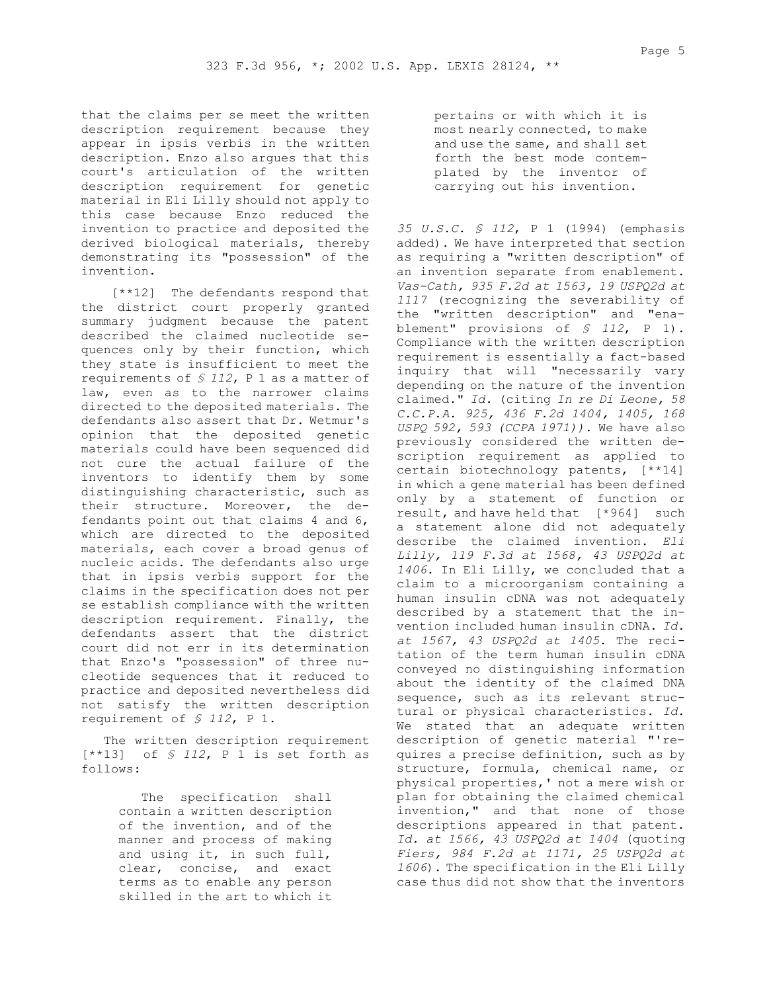that the claims per se meet the written description requirement because they appear in ipsis verbis in the written description. Enzo also argues that this court's articulation of the written description requirement for genetic material in Eli Lilly should not apply to this case because Enzo reduced the invention to practice and deposited the derived biological materials, thereby demonstrating its "possession" of the invention.

[\*\*12] The defendants respond that the district court properly granted summary judgment because the patent described the claimed nucleotide sequences only by their function, which they state is insufficient to meet the requirements of *§ 112*, P 1 as a matter of law, even as to the narrower claims directed to the deposited materials. The defendants also assert that Dr. Wetmur's opinion that the deposited genetic materials could have been sequenced did not cure the actual failure of the inventors to identify them by some distinguishing characteristic, such as their structure. Moreover, the defendants point out that claims 4 and 6, which are directed to the deposited materials, each cover a broad genus of nucleic acids. The defendants also urge that in ipsis verbis support for the claims in the specification does not per se establish compliance with the written description requirement. Finally, the defendants assert that the district court did not err in its determination that Enzo's "possession" of three nucleotide sequences that it reduced to practice and deposited nevertheless did not satisfy the written description requirement of *§ 112*, P 1.

The written description requirement [\*\*13] of *§ 112*, P 1 is set forth as follows:

> The specification shall contain a written description of the invention, and of the manner and process of making and using it, in such full, clear, concise, and exact terms as to enable any person skilled in the art to which it

pertains or with which it is most nearly connected, to make and use the same, and shall set forth the best mode contemplated by the inventor of carrying out his invention.

*35 U.S.C. § 112*, P 1 (1994) (emphasis added). We have interpreted that section as requiring a "written description" of an invention separate from enablement. *Vas-Cath, 935 F.2d at 1563, 19 USPQ2d at 1117* (recognizing the severability of the "written description" and "enablement" provisions of *§ 112*, P 1). Compliance with the written description requirement is essentially a fact-based inquiry that will "necessarily vary depending on the nature of the invention claimed." *Id.* (citing *In re Di Leone, 58 C.C.P.A. 925, 436 F.2d 1404, 1405, 168 USPQ 592, 593 (CCPA 1971))*. We have also previously considered the written description requirement as applied to certain biotechnology patents, [\*\*14] in which a gene material has been defined only by a statement of function or result, and have held that [\*964] such a statement alone did not adequately describe the claimed invention. *Eli Lilly, 119 F.3d at 1568, 43 USPQ2d at 1406*. In Eli Lilly, we concluded that a claim to a microorganism containing a human insulin cDNA was not adequately described by a statement that the invention included human insulin cDNA. *Id. at 1567, 43 USPQ2d at 1405*. The recitation of the term human insulin cDNA conveyed no distinguishing information about the identity of the claimed DNA sequence, such as its relevant structural or physical characteristics. *Id.* We stated that an adequate written description of genetic material "'requires a precise definition, such as by structure, formula, chemical name, or physical properties,' not a mere wish or plan for obtaining the claimed chemical invention," and that none of those descriptions appeared in that patent. *Id. at 1566, 43 USPQ2d at 1404* (quoting *Fiers, 984 F.2d at 1171, 25 USPQ2d at 1606*). The specification in the Eli Lilly case thus did not show that the inventors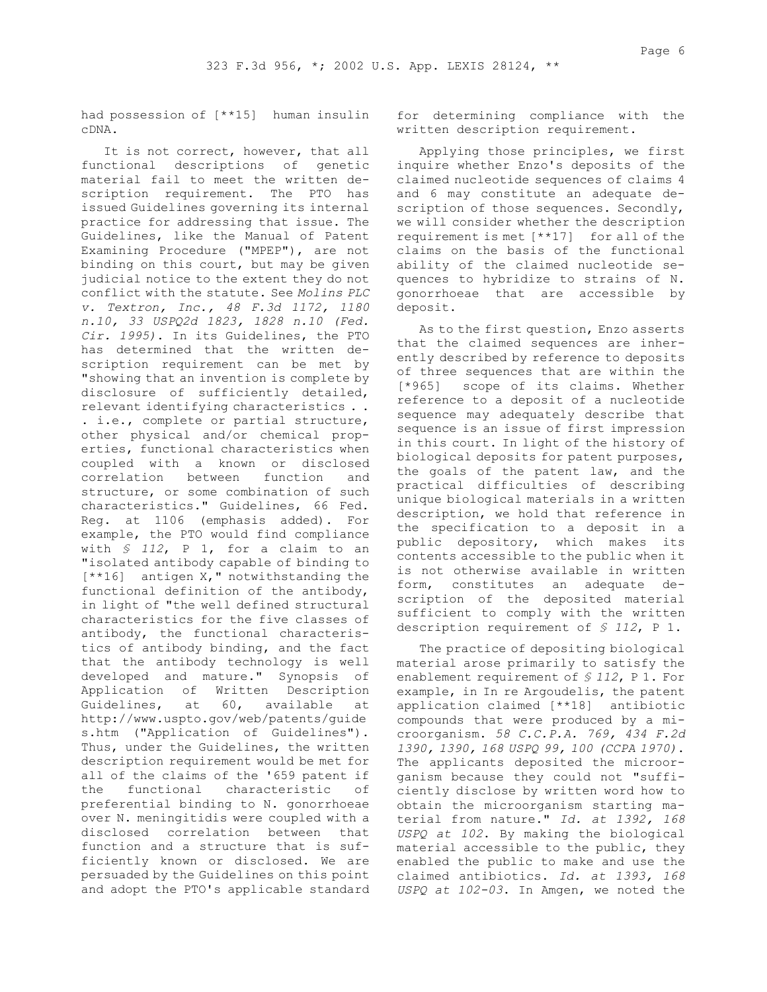had possession of [\*\*15] human insulin cDNA.

It is not correct, however, that all functional descriptions of genetic material fail to meet the written description requirement. The PTO has issued Guidelines governing its internal practice for addressing that issue. The Guidelines, like the Manual of Patent Examining Procedure ("MPEP"), are not binding on this court, but may be given judicial notice to the extent they do not conflict with the statute. See *Molins PLC v. Textron, Inc., 48 F.3d 1172, 1180 n.10, 33 USPQ2d 1823, 1828 n.10 (Fed. Cir. 1995)*. In its Guidelines, the PTO has determined that the written description requirement can be met by "showing that an invention is complete by disclosure of sufficiently detailed, relevant identifying characteristics . . . i.e., complete or partial structure, other physical and/or chemical properties, functional characteristics when coupled with a known or disclosed correlation between function and structure, or some combination of such characteristics." Guidelines, 66 Fed. Reg. at 1106 (emphasis added). For example, the PTO would find compliance with *§ 112*, P 1, for a claim to an "isolated antibody capable of binding to [\*\*16] antigen X," notwithstanding the functional definition of the antibody, in light of "the well defined structural characteristics for the five classes of antibody, the functional characteristics of antibody binding, and the fact that the antibody technology is well developed and mature." Synopsis of Application of Written Description Guidelines, at 60, available at http://www.uspto.gov/web/patents/guide s.htm ("Application of Guidelines"). Thus, under the Guidelines, the written description requirement would be met for all of the claims of the '659 patent if the functional characteristic of preferential binding to N. gonorrhoeae over N. meningitidis were coupled with a disclosed correlation between that function and a structure that is sufficiently known or disclosed. We are persuaded by the Guidelines on this point and adopt the PTO's applicable standard

for determining compliance with the written description requirement.

Applying those principles, we first inquire whether Enzo's deposits of the claimed nucleotide sequences of claims 4 and 6 may constitute an adequate description of those sequences. Secondly, we will consider whether the description requirement is met [\*\*17] for all of the claims on the basis of the functional ability of the claimed nucleotide sequences to hybridize to strains of N. gonorrhoeae that are accessible by deposit.

As to the first question, Enzo asserts that the claimed sequences are inherently described by reference to deposits of three sequences that are within the [\*965] scope of its claims. Whether reference to a deposit of a nucleotide sequence may adequately describe that sequence is an issue of first impression in this court. In light of the history of biological deposits for patent purposes, the goals of the patent law, and the practical difficulties of describing unique biological materials in a written description, we hold that reference in the specification to a deposit in a public depository, which makes its contents accessible to the public when it is not otherwise available in written form, constitutes an adequate description of the deposited material sufficient to comply with the written description requirement of *§ 112*, P 1.

The practice of depositing biological material arose primarily to satisfy the enablement requirement of *§ 112*, P 1. For example, in In re Argoudelis, the patent application claimed [\*\*18] antibiotic compounds that were produced by a microorganism. *58 C.C.P.A. 769, 434 F.2d 1390, 1390, 168 USPQ 99, 100 (CCPA 1970)*. The applicants deposited the microorganism because they could not "sufficiently disclose by written word how to obtain the microorganism starting material from nature." *Id. at 1392, 168 USPQ at 102*. By making the biological material accessible to the public, they enabled the public to make and use the claimed antibiotics. *Id. at 1393, 168 USPQ at 102-03*. In Amgen, we noted the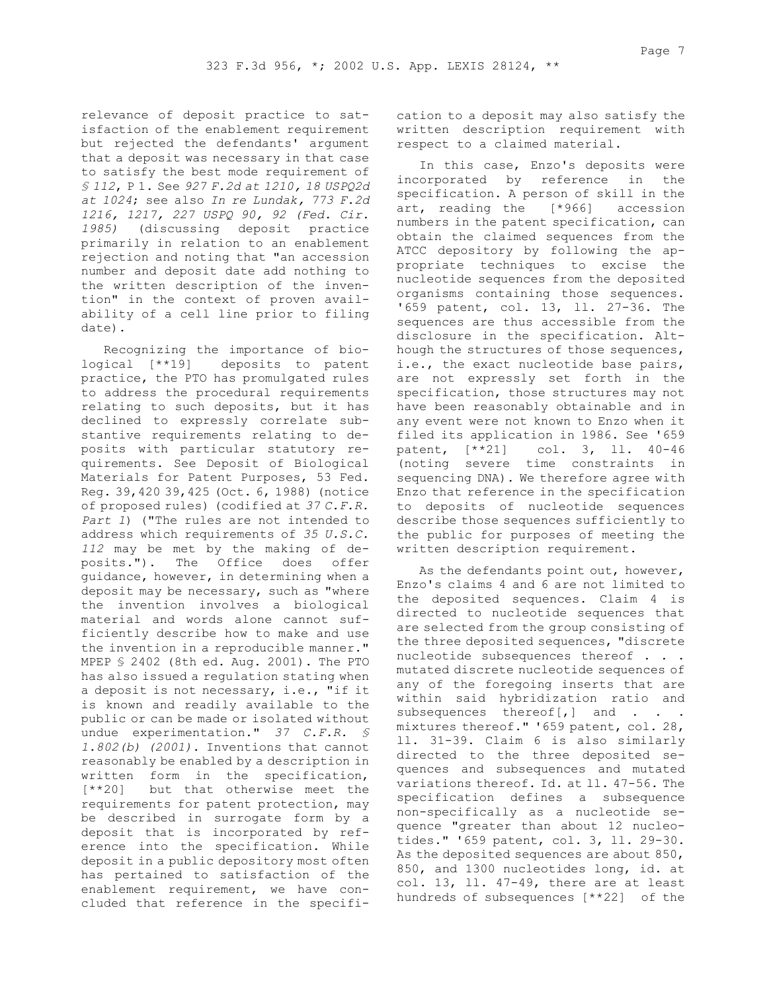relevance of deposit practice to satisfaction of the enablement requirement but rejected the defendants' argument that a deposit was necessary in that case to satisfy the best mode requirement of *§ 112*, P 1. See *927 F.2d at 1210, 18 USPQ2d at 1024*; see also *In re Lundak, 773 F.2d 1216, 1217, 227 USPQ 90, 92 (Fed. Cir. 1985)* (discussing deposit practice primarily in relation to an enablement rejection and noting that "an accession number and deposit date add nothing to the written description of the invention" in the context of proven availability of a cell line prior to filing date).

Recognizing the importance of biological [\*\*19] deposits to patent practice, the PTO has promulgated rules to address the procedural requirements relating to such deposits, but it has declined to expressly correlate substantive requirements relating to deposits with particular statutory requirements. See Deposit of Biological Materials for Patent Purposes, 53 Fed. Reg. 39,420 39,425 (Oct. 6, 1988) (notice of proposed rules) (codified at *37 C.F.R. Part 1*) ("The rules are not intended to address which requirements of *35 U.S.C. 112* may be met by the making of de-The Office does guidance, however, in determining when a deposit may be necessary, such as "where the invention involves a biological material and words alone cannot sufficiently describe how to make and use the invention in a reproducible manner." MPEP § 2402 (8th ed. Aug. 2001). The PTO has also issued a regulation stating when a deposit is not necessary, i.e., "if it is known and readily available to the public or can be made or isolated without undue experimentation." *37 C.F.R. § 1.802(b) (2001)*. Inventions that cannot reasonably be enabled by a description in written form in the specification, [\*\*20] but that otherwise meet the requirements for patent protection, may be described in surrogate form by a deposit that is incorporated by reference into the specification. While deposit in a public depository most often has pertained to satisfaction of the enablement requirement, we have concluded that reference in the specification to a deposit may also satisfy the written description requirement with respect to a claimed material.

In this case, Enzo's deposits were<br>orporated by reference in the incorporated by reference in specification. A person of skill in the art, reading the [\*966] accession numbers in the patent specification, can obtain the claimed sequences from the ATCC depository by following the appropriate techniques to excise the nucleotide sequences from the deposited organisms containing those sequences. '659 patent, col. 13, ll. 27-36. The sequences are thus accessible from the disclosure in the specification. Although the structures of those sequences, i.e., the exact nucleotide base pairs, are not expressly set forth in the specification, those structures may not have been reasonably obtainable and in any event were not known to Enzo when it filed its application in 1986. See '659<br>patent, [\*\*21] col. 3, 11. 40-46 col. 3, 11. 40-46 (noting severe time constraints in sequencing DNA). We therefore agree with Enzo that reference in the specification to deposits of nucleotide sequences describe those sequences sufficiently to the public for purposes of meeting the written description requirement.

As the defendants point out, however, Enzo's claims 4 and 6 are not limited to the deposited sequences. Claim 4 is directed to nucleotide sequences that are selected from the group consisting of the three deposited sequences, "discrete nucleotide subsequences thereof . . . mutated discrete nucleotide sequences of any of the foregoing inserts that are within said hybridization ratio and subsequences thereof[,] and . . . mixtures thereof." '659 patent, col. 28, ll. 31-39. Claim 6 is also similarly directed to the three deposited sequences and subsequences and mutated variations thereof. Id. at ll. 47-56. The specification defines a subsequence non-specifically as a nucleotide sequence "greater than about 12 nucleotides." '659 patent, col. 3, ll. 29-30. As the deposited sequences are about 850, 850, and 1300 nucleotides long, id. at col. 13, ll. 47-49, there are at least hundreds of subsequences [\*\*22] of the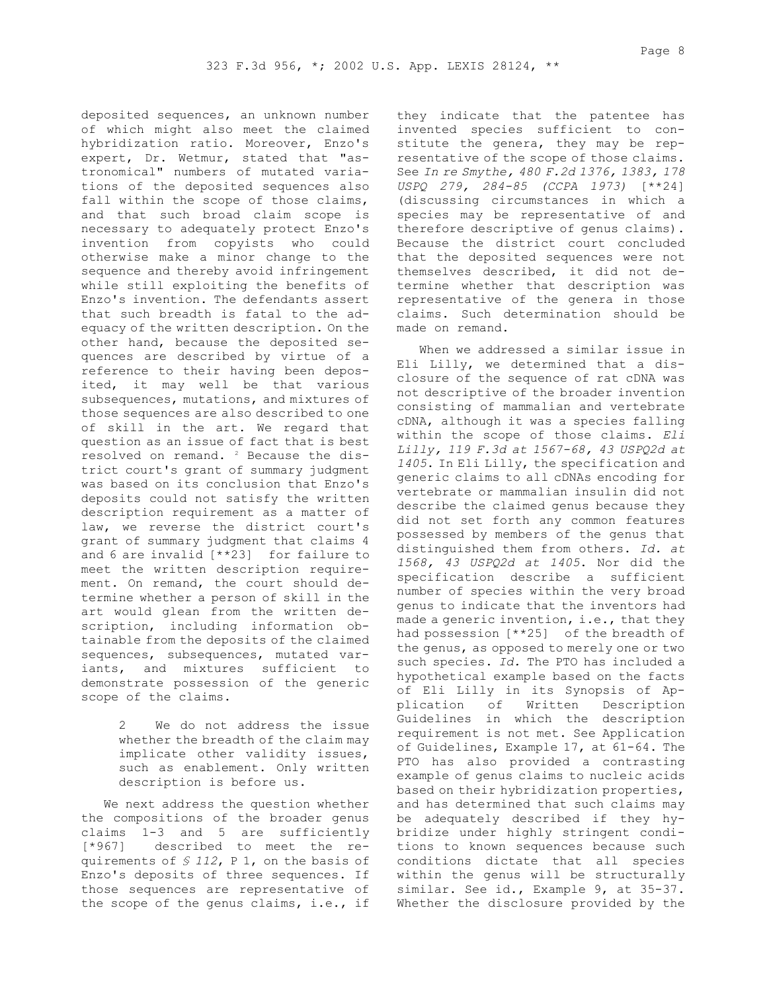deposited sequences, an unknown number of which might also meet the claimed hybridization ratio. Moreover, Enzo's expert, Dr. Wetmur, stated that "astronomical" numbers of mutated variations of the deposited sequences also fall within the scope of those claims, and that such broad claim scope is necessary to adequately protect Enzo's invention from copyists who could otherwise make a minor change to the sequence and thereby avoid infringement while still exploiting the benefits of Enzo's invention. The defendants assert that such breadth is fatal to the adequacy of the written description. On the other hand, because the deposited sequences are described by virtue of a reference to their having been deposited, it may well be that various subsequences, mutations, and mixtures of those sequences are also described to one of skill in the art. We regard that question as an issue of fact that is best resolved on remand. <sup>2</sup> Because the district court's grant of summary judgment was based on its conclusion that Enzo's deposits could not satisfy the written description requirement as a matter of law, we reverse the district court's grant of summary judgment that claims 4 and 6 are invalid [\*\*23] for failure to meet the written description requirement. On remand, the court should determine whether a person of skill in the art would glean from the written description, including information obtainable from the deposits of the claimed sequences, subsequences, mutated variants, and mixtures sufficient to demonstrate possession of the generic scope of the claims.

> 2 We do not address the issue whether the breadth of the claim may implicate other validity issues, such as enablement. Only written description is before us.

We next address the question whether the compositions of the broader genus claims 1-3 and 5 are sufficiently [\*967] described to meet the requirements of *§ 112*, P 1, on the basis of Enzo's deposits of three sequences. If those sequences are representative of the scope of the genus claims, i.e., if

they indicate that the patentee has invented species sufficient to constitute the genera, they may be representative of the scope of those claims. See *In re Smythe, 480 F.2d 1376, 1383, 178 USPQ 279, 284-85 (CCPA 1973)* [\*\*24] (discussing circumstances in which a species may be representative of and therefore descriptive of genus claims). Because the district court concluded that the deposited sequences were not themselves described, it did not determine whether that description was representative of the genera in those claims. Such determination should be made on remand.

When we addressed a similar issue in Eli Lilly, we determined that a disclosure of the sequence of rat cDNA was not descriptive of the broader invention consisting of mammalian and vertebrate cDNA, although it was a species falling within the scope of those claims. *Eli Lilly, 119 F.3d at 1567-68, 43 USPQ2d at 1405*. In Eli Lilly, the specification and generic claims to all cDNAs encoding for vertebrate or mammalian insulin did not describe the claimed genus because they did not set forth any common features possessed by members of the genus that distinguished them from others. *Id. at 1568, 43 USPQ2d at 1405*. Nor did the specification describe a sufficient number of species within the very broad genus to indicate that the inventors had made a generic invention, i.e., that they had possession [\*\*25] of the breadth of the genus, as opposed to merely one or two such species. *Id.* The PTO has included a hypothetical example based on the facts of Eli Lilly in its Synopsis of Application of Written Guidelines in which the description requirement is not met. See Application of Guidelines, Example 17, at 61-64. The PTO has also provided a contrasting example of genus claims to nucleic acids based on their hybridization properties, and has determined that such claims may be adequately described if they hybridize under highly stringent conditions to known sequences because such conditions dictate that all species within the genus will be structurally similar. See id., Example 9, at 35-37. Whether the disclosure provided by the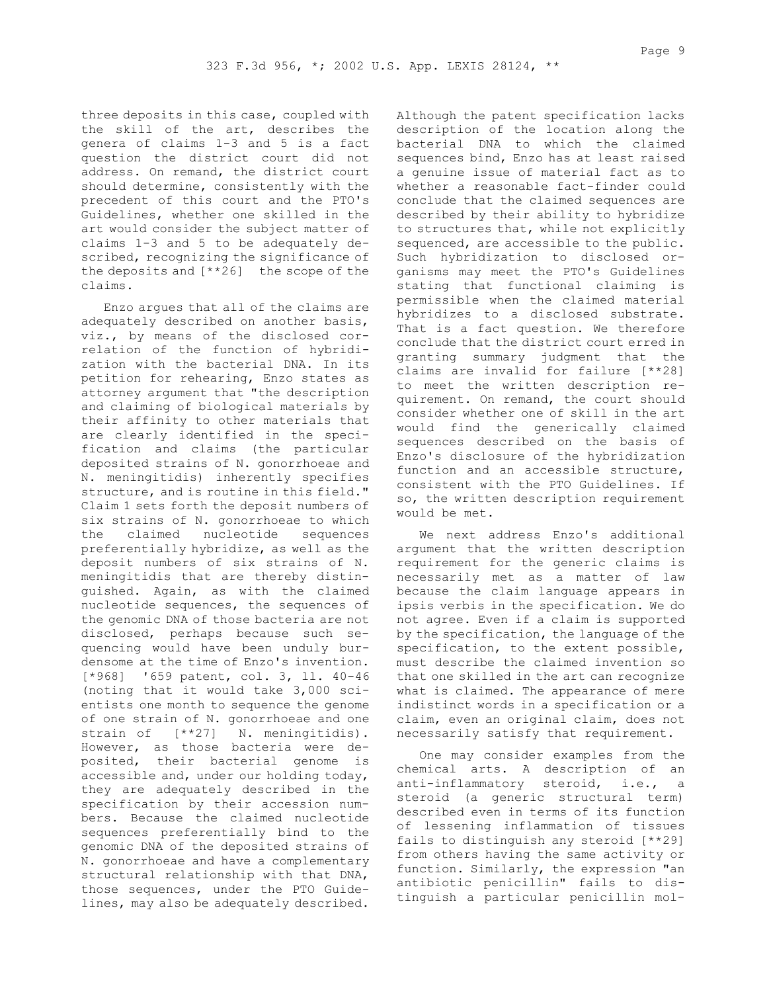three deposits in this case, coupled with the skill of the art, describes the genera of claims 1-3 and 5 is a fact question the district court did not address. On remand, the district court should determine, consistently with the precedent of this court and the PTO's Guidelines, whether one skilled in the art would consider the subject matter of claims 1-3 and 5 to be adequately described, recognizing the significance of the deposits and [\*\*26] the scope of the claims.

Enzo argues that all of the claims are adequately described on another basis, viz., by means of the disclosed correlation of the function of hybridization with the bacterial DNA. In its petition for rehearing, Enzo states as attorney argument that "the description and claiming of biological materials by their affinity to other materials that are clearly identified in the specification and claims (the particular deposited strains of N. gonorrhoeae and N. meningitidis) inherently specifies structure, and is routine in this field." Claim 1 sets forth the deposit numbers of six strains of N. gonorrhoeae to which the claimed nucleotide sequences preferentially hybridize, as well as the deposit numbers of six strains of N. meningitidis that are thereby distinguished. Again, as with the claimed nucleotide sequences, the sequences of the genomic DNA of those bacteria are not disclosed, perhaps because such sequencing would have been unduly burdensome at the time of Enzo's invention. [\*968] '659 patent, col. 3, ll. 40-46 (noting that it would take 3,000 scientists one month to sequence the genome of one strain of N. gonorrhoeae and one<br>strain of  $[**27]$  N. meningitidis). N. meningitidis). However, as those bacteria were deposited, their bacterial genome is accessible and, under our holding today, they are adequately described in the specification by their accession numbers. Because the claimed nucleotide sequences preferentially bind to the genomic DNA of the deposited strains of N. gonorrhoeae and have a complementary structural relationship with that DNA, those sequences, under the PTO Guidelines, may also be adequately described.

Although the patent specification lacks description of the location along the bacterial DNA to which the claimed sequences bind, Enzo has at least raised a genuine issue of material fact as to whether a reasonable fact-finder could conclude that the claimed sequences are described by their ability to hybridize to structures that, while not explicitly sequenced, are accessible to the public. Such hybridization to disclosed organisms may meet the PTO's Guidelines stating that functional claiming is permissible when the claimed material hybridizes to a disclosed substrate. That is a fact question. We therefore conclude that the district court erred in granting summary judgment that the claims are invalid for failure [\*\*28] to meet the written description requirement. On remand, the court should consider whether one of skill in the art would find the generically claimed sequences described on the basis of Enzo's disclosure of the hybridization function and an accessible structure, consistent with the PTO Guidelines. If so, the written description requirement would be met.

We next address Enzo's additional argument that the written description requirement for the generic claims is necessarily met as a matter of law because the claim language appears in ipsis verbis in the specification. We do not agree. Even if a claim is supported by the specification, the language of the specification, to the extent possible, must describe the claimed invention so that one skilled in the art can recognize what is claimed. The appearance of mere indistinct words in a specification or a claim, even an original claim, does not necessarily satisfy that requirement.

One may consider examples from the chemical arts. A description of an anti-inflammatory steroid, i.e., a steroid (a generic structural term) described even in terms of its function of lessening inflammation of tissues fails to distinguish any steroid [\*\*29] from others having the same activity or function. Similarly, the expression "an antibiotic penicillin" fails to distinguish a particular penicillin mol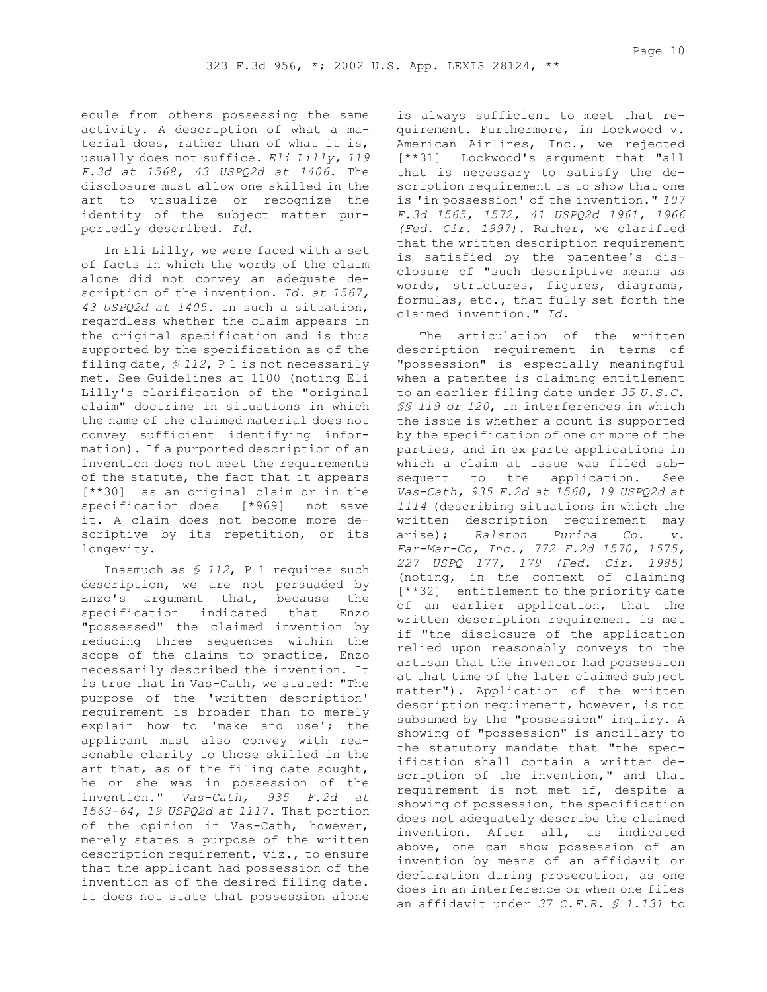ecule from others possessing the same activity. A description of what a material does, rather than of what it is, usually does not suffice. *Eli Lilly, 119 F.3d at 1568, 43 USPQ2d at 1406*. The disclosure must allow one skilled in the art to visualize or recognize the identity of the subject matter purportedly described. *Id.*

In Eli Lilly, we were faced with a set of facts in which the words of the claim alone did not convey an adequate description of the invention. *Id. at 1567, 43 USPQ2d at 1405*. In such a situation, regardless whether the claim appears in the original specification and is thus supported by the specification as of the filing date, *§ 112*, P 1 is not necessarily met. See Guidelines at 1100 (noting Eli Lilly's clarification of the "original claim" doctrine in situations in which the name of the claimed material does not convey sufficient identifying information). If a purported description of an invention does not meet the requirements of the statute, the fact that it appears [\*\*30] as an original claim or in the specification does [\*969] not save it. A claim does not become more descriptive by its repetition, or its longevity.

Inasmuch as *§ 112*, P 1 requires such description, we are not persuaded by Enzo's argument that, because the<br>specification indicated that Enzo specification indicated that "possessed" the claimed invention by reducing three sequences within the scope of the claims to practice, Enzo necessarily described the invention. It is true that in Vas-Cath, we stated: "The purpose of the 'written description' requirement is broader than to merely explain how to 'make and use'; the applicant must also convey with reasonable clarity to those skilled in the art that, as of the filing date sought, he or she was in possession of the invention." *Vas-Cath, 935 F.2d at 1563-64, 19 USPQ2d at 1117*. That portion of the opinion in Vas-Cath, however, merely states a purpose of the written description requirement, viz., to ensure that the applicant had possession of the invention as of the desired filing date. It does not state that possession alone

is always sufficient to meet that requirement. Furthermore, in Lockwood v. American Airlines, Inc., we rejected [\*\*31] Lockwood's argument that "all that is necessary to satisfy the description requirement is to show that one is 'in possession' of the invention." *107 F.3d 1565, 1572, 41 USPQ2d 1961, 1966 (Fed. Cir. 1997)*. Rather, we clarified that the written description requirement is satisfied by the patentee's disclosure of "such descriptive means as words, structures, figures, diagrams, formulas, etc., that fully set forth the claimed invention." *Id.*

The articulation of the written description requirement in terms of "possession" is especially meaningful when a patentee is claiming entitlement to an earlier filing date under *35 U.S.C. §§ 119 or 120*, in interferences in which the issue is whether a count is supported by the specification of one or more of the parties, and in ex parte applications in which a claim at issue was filed subsequent to the application. See *Vas-Cath, 935 F.2d at 1560, 19 USPQ2d at 1114* (describing situations in which the written description requirement may<br>arise); Ralston Purina Co. v. arise); *Ralston Purina Co. v. Far-Mar-Co, Inc., 772 F.2d 1570, 1575, 227 USPQ 177, 179 (Fed. Cir. 1985)* (noting, in the context of claiming [\*\*32] entitlement to the priority date of an earlier application, that the written description requirement is met if "the disclosure of the application relied upon reasonably conveys to the artisan that the inventor had possession at that time of the later claimed subject matter"). Application of the written description requirement, however, is not subsumed by the "possession" inquiry. A showing of "possession" is ancillary to the statutory mandate that "the specification shall contain a written description of the invention," and that requirement is not met if, despite a showing of possession, the specification does not adequately describe the claimed invention. After all, as indicated above, one can show possession of an invention by means of an affidavit or declaration during prosecution, as one does in an interference or when one files an affidavit under *37 C.F.R. § 1.131* to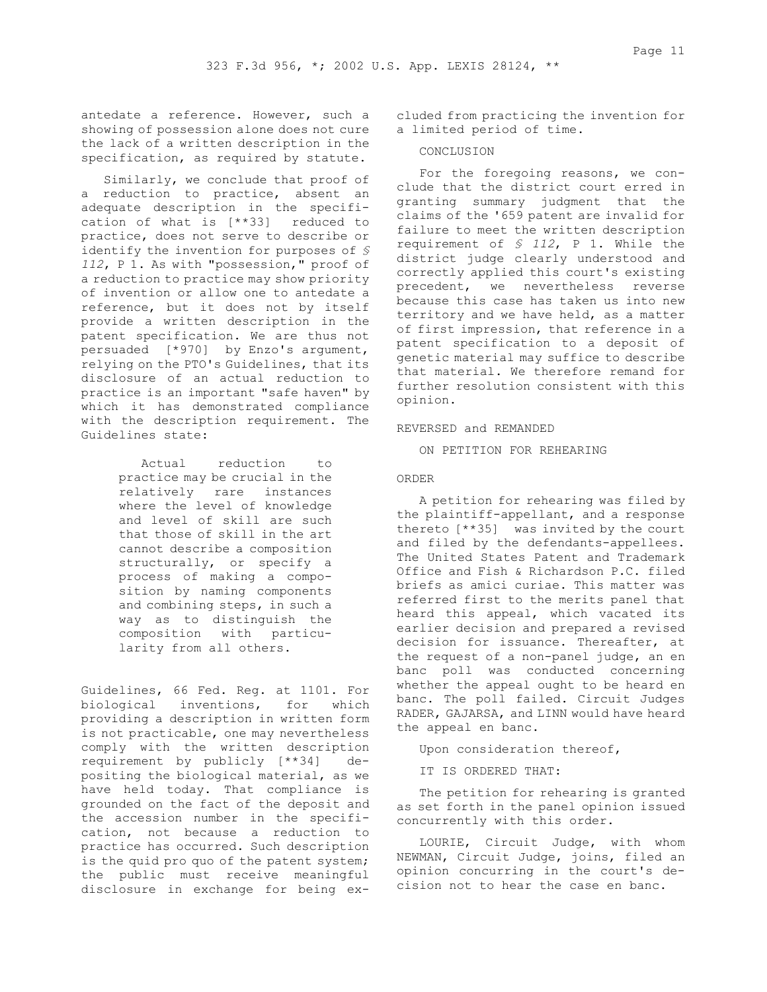antedate a reference. However, such a showing of possession alone does not cure the lack of a written description in the specification, as required by statute.

Similarly, we conclude that proof of a reduction to practice, absent an adequate description in the specification of what is [\*\*33] reduced to practice, does not serve to describe or identify the invention for purposes of *§ 112*, P 1. As with "possession," proof of a reduction to practice may show priority of invention or allow one to antedate a reference, but it does not by itself provide a written description in the patent specification. We are thus not persuaded [\*970] by Enzo's argument, relying on the PTO's Guidelines, that its disclosure of an actual reduction to practice is an important "safe haven" by which it has demonstrated compliance with the description requirement. The Guidelines state:

> Actual reduction to practice may be crucial in the relatively rare instances where the level of knowledge and level of skill are such that those of skill in the art cannot describe a composition structurally, or specify a process of making a composition by naming components and combining steps, in such a way as to distinguish the composition with particularity from all others.

Guidelines, 66 Fed. Reg. at 1101. For<br>biological inventions, for which biological inventions, providing a description in written form is not practicable, one may nevertheless comply with the written description requirement by publicly [\*\*34] depositing the biological material, as we have held today. That compliance is grounded on the fact of the deposit and the accession number in the specification, not because a reduction to practice has occurred. Such description is the quid pro quo of the patent system; the public must receive meaningful disclosure in exchange for being excluded from practicing the invention for a limited period of time.

## CONCLUSION

For the foregoing reasons, we conclude that the district court erred in granting summary judgment that the claims of the '659 patent are invalid for failure to meet the written description requirement of *§ 112*, P 1. While the district judge clearly understood and correctly applied this court's existing precedent, we nevertheless reverse because this case has taken us into new territory and we have held, as a matter of first impression, that reference in a patent specification to a deposit of genetic material may suffice to describe that material. We therefore remand for further resolution consistent with this opinion.

### REVERSED and REMANDED

ON PETITION FOR REHEARING

## ORDER

A petition for rehearing was filed by the plaintiff-appellant, and a response thereto [\*\*35] was invited by the court and filed by the defendants-appellees. The United States Patent and Trademark Office and Fish & Richardson P.C. filed briefs as amici curiae. This matter was referred first to the merits panel that heard this appeal, which vacated its earlier decision and prepared a revised decision for issuance. Thereafter, at the request of a non-panel judge, an en banc poll was conducted concerning whether the appeal ought to be heard en banc. The poll failed. Circuit Judges RADER, GAJARSA, and LINN would have heard the appeal en banc.

Upon consideration thereof,

IT IS ORDERED THAT:

The petition for rehearing is granted as set forth in the panel opinion issued concurrently with this order.

LOURIE, Circuit Judge, with whom NEWMAN, Circuit Judge, joins, filed an opinion concurring in the court's decision not to hear the case en banc.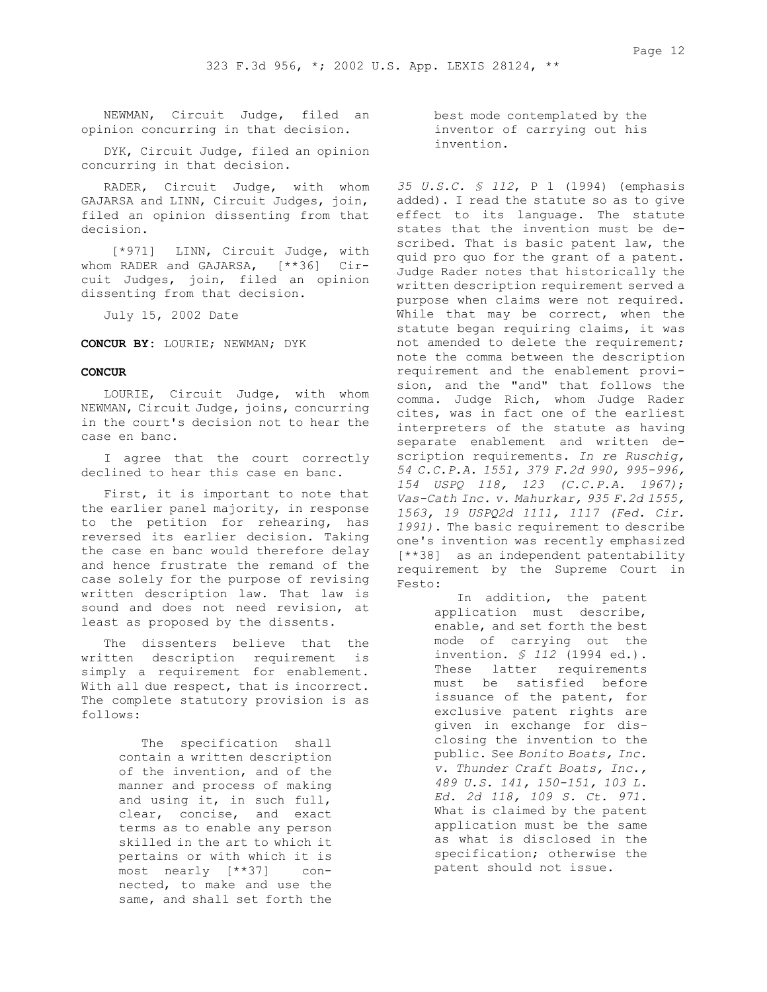NEWMAN, Circuit Judge, filed an opinion concurring in that decision.

DYK, Circuit Judge, filed an opinion concurring in that decision.

RADER, Circuit Judge, with whom GAJARSA and LINN, Circuit Judges, join, filed an opinion dissenting from that decision.

[\*971] LINN, Circuit Judge, with whom RADER and GAJARSA, [\*\*36] Circuit Judges, join, filed an opinion dissenting from that decision.

July 15, 2002 Date

**CONCUR BY:** LOURIE; NEWMAN; DYK

### **CONCUR**

LOURIE, Circuit Judge, with whom NEWMAN, Circuit Judge, joins, concurring in the court's decision not to hear the case en banc.

I agree that the court correctly declined to hear this case en banc.

First, it is important to note that the earlier panel majority, in response to the petition for rehearing, has reversed its earlier decision. Taking the case en banc would therefore delay and hence frustrate the remand of the case solely for the purpose of revising written description law. That law is sound and does not need revision, at least as proposed by the dissents.

The dissenters believe that the written description requirement is simply a requirement for enablement. With all due respect, that is incorrect. The complete statutory provision is as follows:

> The specification shall contain a written description of the invention, and of the manner and process of making and using it, in such full, clear, concise, and exact terms as to enable any person skilled in the art to which it pertains or with which it is most nearly [\*\*37] connected, to make and use the same, and shall set forth the

best mode contemplated by the inventor of carrying out his invention.

*35 U.S.C. § 112*, P 1 (1994) (emphasis added). I read the statute so as to give effect to its language. The statute states that the invention must be described. That is basic patent law, the quid pro quo for the grant of a patent. Judge Rader notes that historically the written description requirement served a purpose when claims were not required. While that may be correct, when the statute began requiring claims, it was not amended to delete the requirement; note the comma between the description requirement and the enablement provision, and the "and" that follows the comma. Judge Rich, whom Judge Rader cites, was in fact one of the earliest interpreters of the statute as having separate enablement and written description requirements. *In re Ruschig, 54 C.C.P.A. 1551, 379 F.2d 990, 995-996, 154 USPQ 118, 123 (C.C.P.A. 1967)*; *Vas-Cath Inc. v. Mahurkar, 935 F.2d 1555, 1563, 19 USPQ2d 1111, 1117 (Fed. Cir. 1991)*. The basic requirement to describe one's invention was recently emphasized [\*\*38] as an independent patentability requirement by the Supreme Court in Festo:

 In addition, the patent application must describe, enable, and set forth the best mode of carrying out the invention. *§ 112* (1994 ed.). These latter requirements must be satisfied before issuance of the patent, for exclusive patent rights are given in exchange for disclosing the invention to the public. See *Bonito Boats, Inc. v. Thunder Craft Boats, Inc., 489 U.S. 141, 150-151, 103 L. Ed. 2d 118, 109 S. Ct. 971*. What is claimed by the patent application must be the same as what is disclosed in the specification; otherwise the patent should not issue.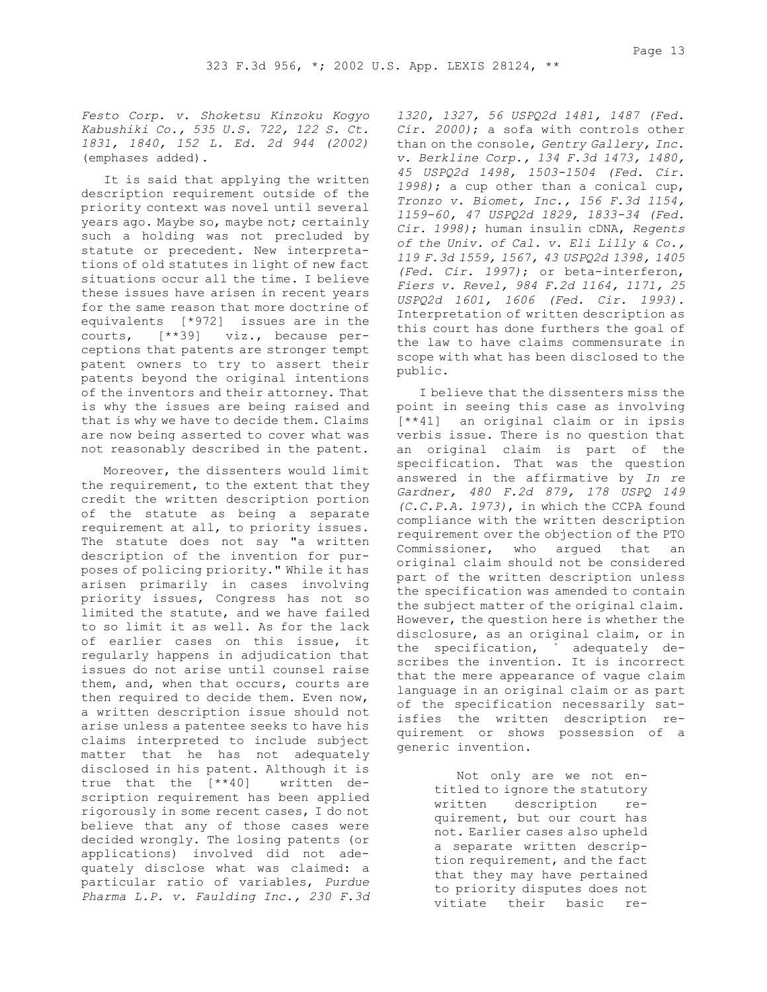*Festo Corp. v. Shoketsu Kinzoku Kogyo Kabushiki Co., 535 U.S. 722, 122 S. Ct. 1831, 1840, 152 L. Ed. 2d 944 (2002)* (emphases added).

It is said that applying the written description requirement outside of the priority context was novel until several years ago. Maybe so, maybe not; certainly such a holding was not precluded by statute or precedent. New interpretations of old statutes in light of new fact situations occur all the time. I believe these issues have arisen in recent years for the same reason that more doctrine of equivalents [\*972] issues are in the<br>courts, [\*\*39] viz., because perviz., because perceptions that patents are stronger tempt patent owners to try to assert their patents beyond the original intentions of the inventors and their attorney. That is why the issues are being raised and that is why we have to decide them. Claims are now being asserted to cover what was not reasonably described in the patent.

Moreover, the dissenters would limit the requirement, to the extent that they credit the written description portion of the statute as being a separate requirement at all, to priority issues. The statute does not say "a written description of the invention for purposes of policing priority." While it has arisen primarily in cases involving priority issues, Congress has not so limited the statute, and we have failed to so limit it as well. As for the lack of earlier cases on this issue, it regularly happens in adjudication that issues do not arise until counsel raise them, and, when that occurs, courts are then required to decide them. Even now, a written description issue should not arise unless a patentee seeks to have his claims interpreted to include subject matter that he has not adequately disclosed in his patent. Although it is<br>true that the [\*\*40] written detrue that the  $[**40]$ scription requirement has been applied rigorously in some recent cases, I do not believe that any of those cases were decided wrongly. The losing patents (or applications) involved did not adequately disclose what was claimed: a particular ratio of variables, *Purdue Pharma L.P. v. Faulding Inc., 230 F.3d* 

*1320, 1327, 56 USPQ2d 1481, 1487 (Fed. Cir. 2000)*; a sofa with controls other than on the console, *Gentry Gallery, Inc. v. Berkline Corp., 134 F.3d 1473, 1480, 45 USPQ2d 1498, 1503-1504 (Fed. Cir. 1998)*; a cup other than a conical cup, *Tronzo v. Biomet, Inc., 156 F.3d 1154, 1159-60, 47 USPQ2d 1829, 1833-34 (Fed. Cir. 1998)*; human insulin cDNA, *Regents of the Univ. of Cal. v. Eli Lilly & Co., 119 F.3d 1559, 1567, 43 USPQ2d 1398, 1405 (Fed. Cir. 1997)*; or beta-interferon, *Fiers v. Revel, 984 F.2d 1164, 1171, 25 USPQ2d 1601, 1606 (Fed. Cir. 1993)*. Interpretation of written description as this court has done furthers the goal of the law to have claims commensurate in scope with what has been disclosed to the public.

I believe that the dissenters miss the point in seeing this case as involving [\*\*41] an original claim or in ipsis verbis issue. There is no question that an original claim is part of the specification. That was the question answered in the affirmative by *In re Gardner, 480 F.2d 879, 178 USPQ 149 (C.C.P.A. 1973)*, in which the CCPA found compliance with the written description requirement over the objection of the PTO Commissioner, who argued that an original claim should not be considered part of the written description unless the specification was amended to contain the subject matter of the original claim. However, the question here is whether the disclosure, as an original claim, or in the specification, \* adequately describes the invention. It is incorrect that the mere appearance of vague claim language in an original claim or as part of the specification necessarily satisfies the written description requirement or shows possession of a generic invention.

> Not only are we not entitled to ignore the statutory written description requirement, but our court has not. Earlier cases also upheld a separate written description requirement, and the fact that they may have pertained to priority disputes does not vitiate their basic re-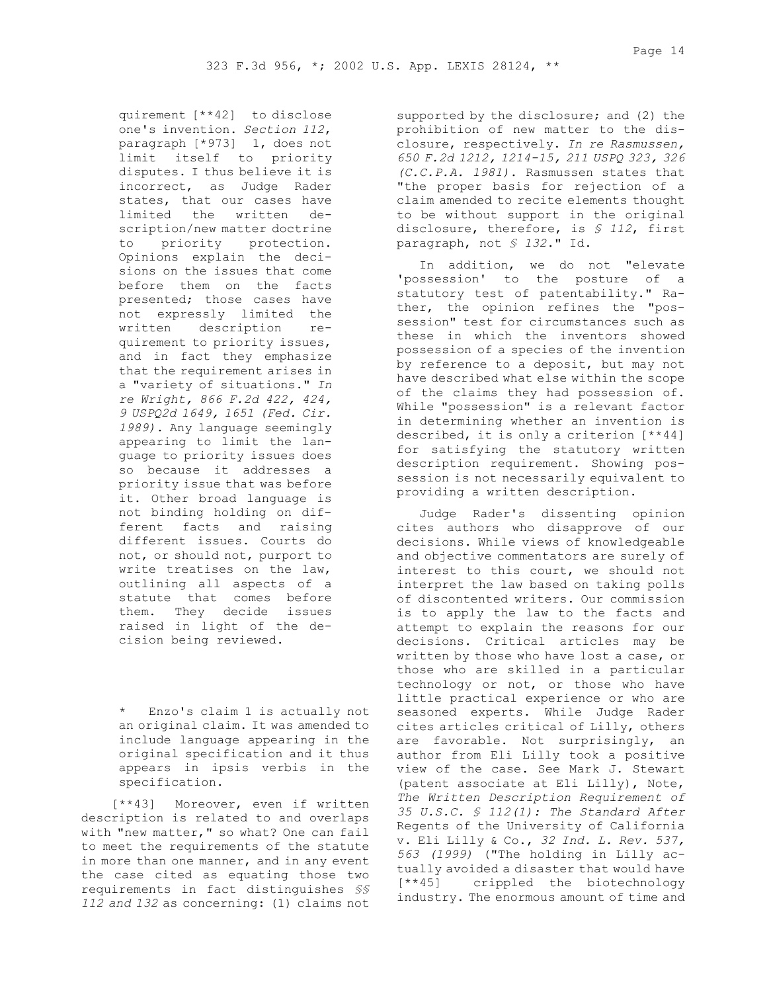quirement [\*\*42] to disclose one's invention. *Section 112*, paragraph [\*973] 1, does not limit itself to priority disputes. I thus believe it is incorrect, as Judge Rader states, that our cases have limited the written description/new matter doctrine to priority protection. Opinions explain the decisions on the issues that come before them on the facts presented; those cases have not expressly limited the<br>written description rewritten description quirement to priority issues, and in fact they emphasize that the requirement arises in a "variety of situations." *In re Wright, 866 F.2d 422, 424, 9 USPQ2d 1649, 1651 (Fed. Cir. 1989)*. Any language seemingly appearing to limit the language to priority issues does so because it addresses a priority issue that was before it. Other broad language is not binding holding on different facts and raising different issues. Courts do not, or should not, purport to write treatises on the law, outlining all aspects of a statute that comes before them. They decide issues raised in light of the decision being reviewed.

Enzo's claim 1 is actually not an original claim. It was amended to include language appearing in the original specification and it thus appears in ipsis verbis in the specification.

[\*\*43] Moreover, even if written description is related to and overlaps with "new matter," so what? One can fail to meet the requirements of the statute in more than one manner, and in any event the case cited as equating those two requirements in fact distinguishes *§§ 112 and 132* as concerning: (1) claims not

supported by the disclosure; and (2) the prohibition of new matter to the disclosure, respectively. *In re Rasmussen, 650 F.2d 1212, 1214-15, 211 USPQ 323, 326 (C.C.P.A. 1981)*. Rasmussen states that "the proper basis for rejection of a claim amended to recite elements thought to be without support in the original disclosure, therefore, is *§ 112*, first paragraph, not *§ 132*." Id.

In addition, we do not "elevate 'possession' to the posture of a statutory test of patentability." Rather, the opinion refines the "possession" test for circumstances such as these in which the inventors showed possession of a species of the invention by reference to a deposit, but may not have described what else within the scope of the claims they had possession of. While "possession" is a relevant factor in determining whether an invention is described, it is only a criterion [\*\*44] for satisfying the statutory written description requirement. Showing possession is not necessarily equivalent to providing a written description.

Judge Rader's dissenting opinion cites authors who disapprove of our decisions. While views of knowledgeable and objective commentators are surely of interest to this court, we should not interpret the law based on taking polls of discontented writers. Our commission is to apply the law to the facts and attempt to explain the reasons for our decisions. Critical articles may be written by those who have lost a case, or those who are skilled in a particular technology or not, or those who have little practical experience or who are seasoned experts. While Judge Rader cites articles critical of Lilly, others are favorable. Not surprisingly, an author from Eli Lilly took a positive view of the case. See Mark J. Stewart (patent associate at Eli Lilly), Note, *The Written Description Requirement of 35 U.S.C. § 112(1): The Standard After* Regents of the University of California v. Eli Lilly & Co., *32 Ind. L. Rev. 537, 563 (1999)* ("The holding in Lilly actually avoided a disaster that would have [\*\*45] crippled the biotechnology industry. The enormous amount of time and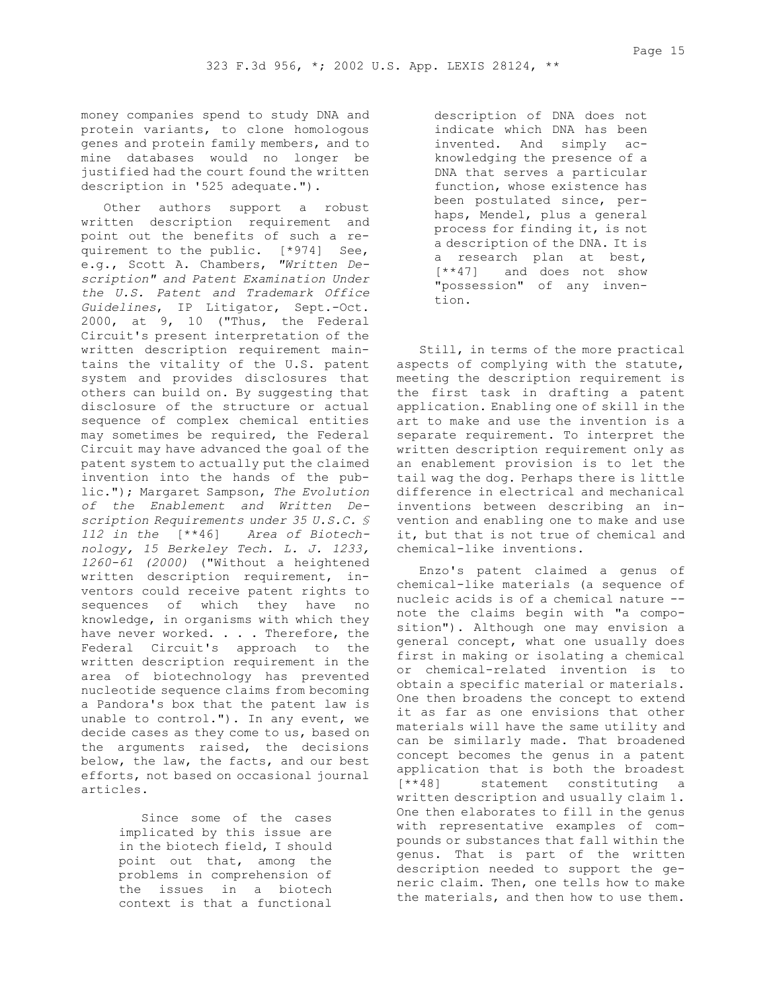money companies spend to study DNA and protein variants, to clone homologous genes and protein family members, and to mine databases would no longer be justified had the court found the written description in '525 adequate.").

Other authors support a robust written description requirement and point out the benefits of such a requirement to the public. [\*974] See, e.g., Scott A. Chambers, *"Written Description" and Patent Examination Under the U.S. Patent and Trademark Office Guidelines*, IP Litigator, Sept.-Oct. 2000, at 9, 10 ("Thus, the Federal Circuit's present interpretation of the written description requirement maintains the vitality of the U.S. patent system and provides disclosures that others can build on. By suggesting that disclosure of the structure or actual sequence of complex chemical entities may sometimes be required, the Federal Circuit may have advanced the goal of the patent system to actually put the claimed invention into the hands of the public."); Margaret Sampson, *The Evolution of the Enablement and Written Description Requirements under 35 U.S.C. § 112 in the* [\*\*46] *Area of Biotechnology, 15 Berkeley Tech. L. J. 1233, 1260-61 (2000)* ("Without a heightened written description requirement, inventors could receive patent rights to sequences of which they have no knowledge, in organisms with which they have never worked. . . . Therefore, the Federal Circuit's approach to the written description requirement in the area of biotechnology has prevented nucleotide sequence claims from becoming a Pandora's box that the patent law is unable to control."). In any event, we decide cases as they come to us, based on the arguments raised, the decisions below, the law, the facts, and our best efforts, not based on occasional journal articles.

> Since some of the cases implicated by this issue are in the biotech field, I should point out that, among the problems in comprehension of the issues in a biotech context is that a functional

description of DNA does not indicate which DNA has been invented. And simply acknowledging the presence of a DNA that serves a particular function, whose existence has been postulated since, perhaps, Mendel, plus a general process for finding it, is not a description of the DNA. It is a research plan at best, [\*\*47] and does not show "possession" of any invention.

Still, in terms of the more practical aspects of complying with the statute, meeting the description requirement is the first task in drafting a patent application. Enabling one of skill in the art to make and use the invention is a separate requirement. To interpret the written description requirement only as an enablement provision is to let the tail wag the dog. Perhaps there is little difference in electrical and mechanical inventions between describing an invention and enabling one to make and use it, but that is not true of chemical and chemical-like inventions.

Enzo's patent claimed a genus of chemical-like materials (a sequence of nucleic acids is of a chemical nature - note the claims begin with "a composition"). Although one may envision a general concept, what one usually does first in making or isolating a chemical or chemical-related invention is to obtain a specific material or materials. One then broadens the concept to extend it as far as one envisions that other materials will have the same utility and can be similarly made. That broadened concept becomes the genus in a patent application that is both the broadest  $\lceil$ \*\*48] statement constituting a statement constituting a written description and usually claim 1. One then elaborates to fill in the genus with representative examples of compounds or substances that fall within the genus. That is part of the written description needed to support the generic claim. Then, one tells how to make the materials, and then how to use them.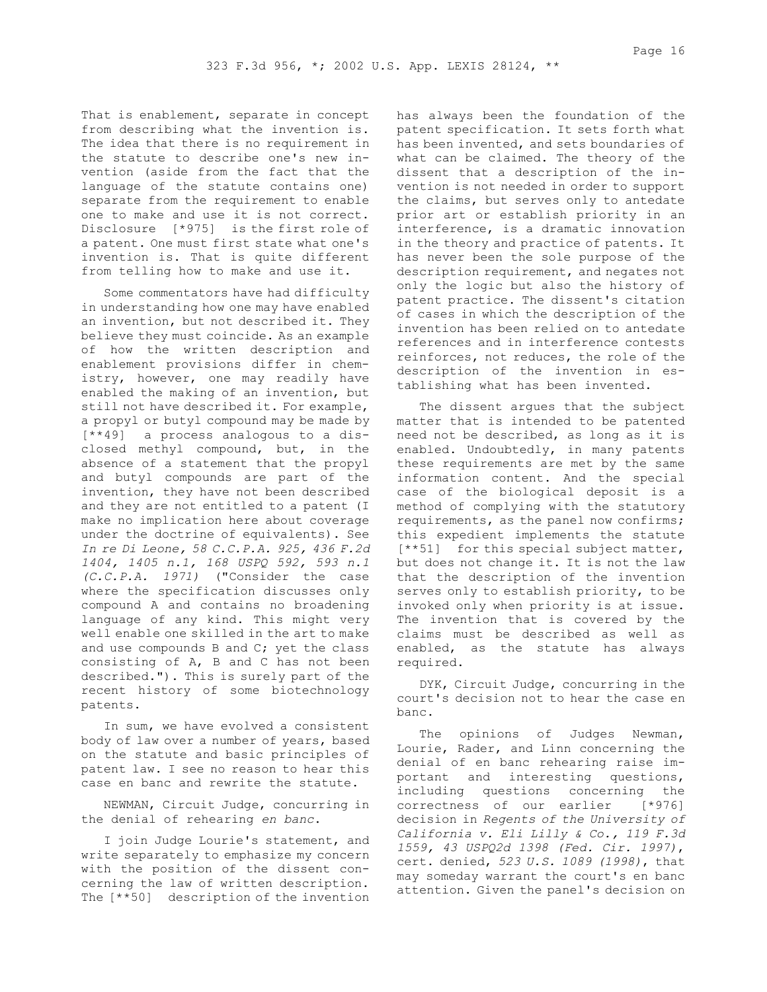That is enablement, separate in concept from describing what the invention is. The idea that there is no requirement in the statute to describe one's new invention (aside from the fact that the language of the statute contains one) separate from the requirement to enable one to make and use it is not correct. Disclosure [\*975] is the first role of a patent. One must first state what one's invention is. That is quite different from telling how to make and use it.

Some commentators have had difficulty in understanding how one may have enabled an invention, but not described it. They believe they must coincide. As an example of how the written description and enablement provisions differ in chemistry, however, one may readily have enabled the making of an invention, but still not have described it. For example, a propyl or butyl compound may be made by [\*\*49] a process analogous to a disclosed methyl compound, but, in the absence of a statement that the propyl and butyl compounds are part of the invention, they have not been described and they are not entitled to a patent (I make no implication here about coverage under the doctrine of equivalents). See *In re Di Leone, 58 C.C.P.A. 925, 436 F.2d 1404, 1405 n.1, 168 USPQ 592, 593 n.1 (C.C.P.A. 1971)* ("Consider the case where the specification discusses only compound A and contains no broadening language of any kind. This might very well enable one skilled in the art to make and use compounds B and C; yet the class consisting of A, B and C has not been described."). This is surely part of the recent history of some biotechnology patents.

In sum, we have evolved a consistent body of law over a number of years, based on the statute and basic principles of patent law. I see no reason to hear this case en banc and rewrite the statute.

NEWMAN, Circuit Judge, concurring in the denial of rehearing *en banc*.

I join Judge Lourie's statement, and write separately to emphasize my concern with the position of the dissent concerning the law of written description. The [\*\*50] description of the invention has always been the foundation of the patent specification. It sets forth what has been invented, and sets boundaries of what can be claimed. The theory of the dissent that a description of the invention is not needed in order to support the claims, but serves only to antedate prior art or establish priority in an interference, is a dramatic innovation in the theory and practice of patents. It has never been the sole purpose of the description requirement, and negates not only the logic but also the history of patent practice. The dissent's citation of cases in which the description of the invention has been relied on to antedate references and in interference contests reinforces, not reduces, the role of the description of the invention in establishing what has been invented.

The dissent argues that the subject matter that is intended to be patented need not be described, as long as it is enabled. Undoubtedly, in many patents these requirements are met by the same information content. And the special case of the biological deposit is a method of complying with the statutory requirements, as the panel now confirms; this expedient implements the statute [\*\*51] for this special subject matter, but does not change it. It is not the law that the description of the invention serves only to establish priority, to be invoked only when priority is at issue. The invention that is covered by the claims must be described as well as enabled, as the statute has always required.

DYK, Circuit Judge, concurring in the court's decision not to hear the case en banc.

The opinions of Judges Newman, Lourie, Rader, and Linn concerning the denial of en banc rehearing raise important and interesting questions, including questions concerning the<br>correctness of our earlier [\*976] correctness of our earlier decision in *Regents of the University of California v. Eli Lilly & Co., 119 F.3d 1559, 43 USPQ2d 1398 (Fed. Cir. 1997)*, cert. denied, *523 U.S. 1089 (1998)*, that may someday warrant the court's en banc attention. Given the panel's decision on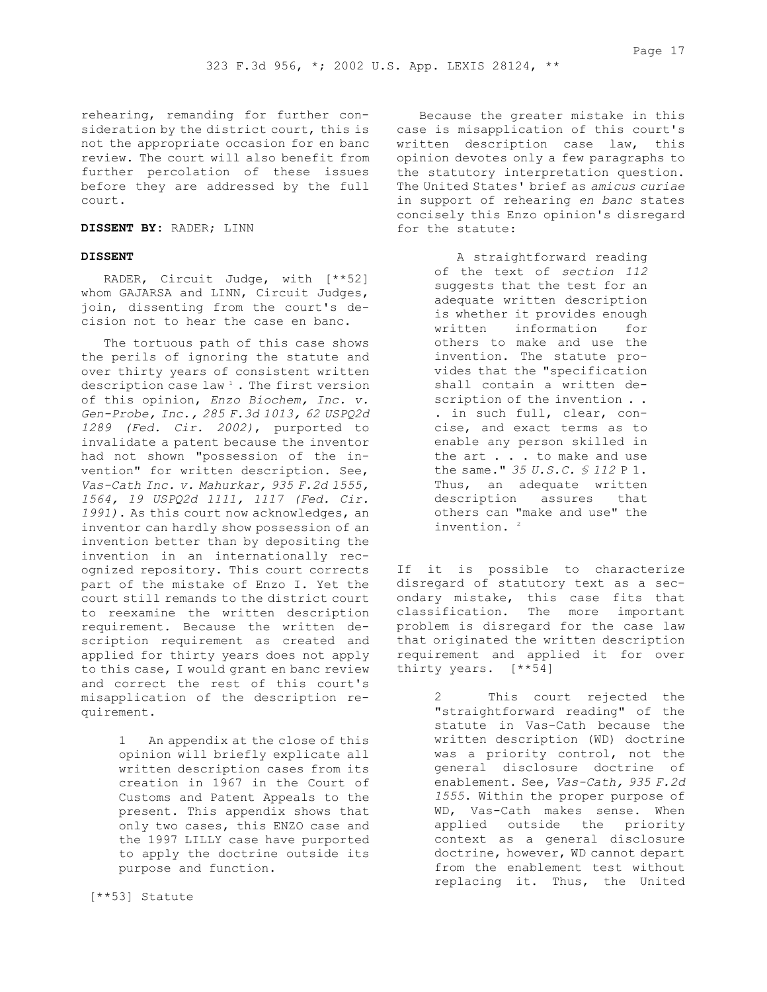rehearing, remanding for further consideration by the district court, this is not the appropriate occasion for en banc review. The court will also benefit from further percolation of these issues before they are addressed by the full court.

## **DISSENT BY:** RADER; LINN

# **DISSENT**

RADER, Circuit Judge, with [\*\*52] whom GAJARSA and LINN, Circuit Judges, join, dissenting from the court's decision not to hear the case en banc.

The tortuous path of this case shows the perils of ignoring the statute and over thirty years of consistent written description case law<sup>1</sup>. The first version of this opinion, *Enzo Biochem, Inc. v. Gen-Probe, Inc., 285 F.3d 1013, 62 USPQ2d 1289 (Fed. Cir. 2002)*, purported to invalidate a patent because the inventor had not shown "possession of the invention" for written description. See, *Vas-Cath Inc. v. Mahurkar, 935 F.2d 1555, 1564, 19 USPQ2d 1111, 1117 (Fed. Cir. 1991)*. As this court now acknowledges, an inventor can hardly show possession of an invention better than by depositing the invention in an internationally recognized repository. This court corrects part of the mistake of Enzo I. Yet the court still remands to the district court to reexamine the written description requirement. Because the written description requirement as created and applied for thirty years does not apply to this case, I would grant en banc review and correct the rest of this court's misapplication of the description requirement.

> An appendix at the close of this opinion will briefly explicate all written description cases from its creation in 1967 in the Court of Customs and Patent Appeals to the present. This appendix shows that only two cases, this ENZO case and the 1997 LILLY case have purported to apply the doctrine outside its purpose and function.

Because the greater mistake in this case is misapplication of this court's written description case law, this opinion devotes only a few paragraphs to the statutory interpretation question. The United States' brief as *amicus curiae* in support of rehearing *en banc* states concisely this Enzo opinion's disregard for the statute:

> A straightforward reading of the text of *section 112* suggests that the test for an adequate written description is whether it provides enough written information for others to make and use the invention. The statute provides that the "specification shall contain a written description of the invention . . . in such full, clear, concise, and exact terms as to enable any person skilled in the art . . . to make and use the same." *35 U.S.C. § 112* P 1. Thus, an adequate written description assures that others can "make and use" the invention.<sup>2</sup>

If it is possible to characterize disregard of statutory text as a secondary mistake, this case fits that classification. The more important problem is disregard for the case law that originated the written description requirement and applied it for over thirty years. [\*\*54]

> 2 This court rejected the "straightforward reading" of the statute in Vas-Cath because the written description (WD) doctrine was a priority control, not the general disclosure doctrine of enablement. See, *Vas-Cath, 935 F.2d 1555*. Within the proper purpose of WD, Vas-Cath makes sense. When applied outside the priority context as a general disclosure doctrine, however, WD cannot depart from the enablement test without replacing it. Thus, the United

[\*\*53] Statute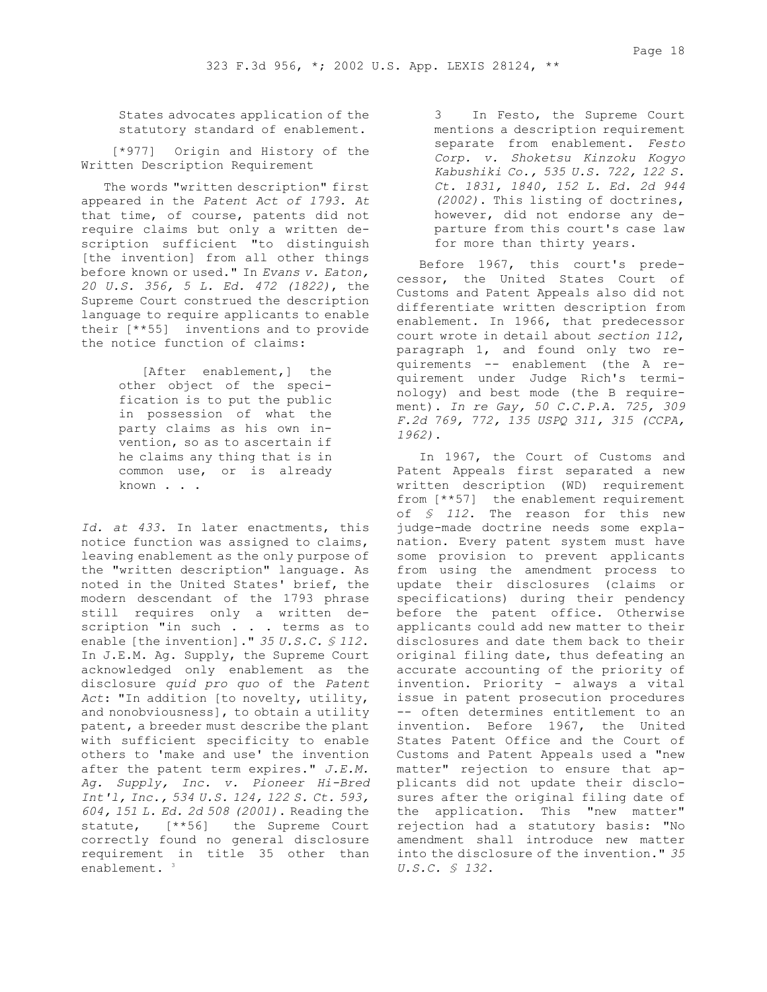States advocates application of the statutory standard of enablement.

[\*977] Origin and History of the Written Description Requirement

The words "written description" first appeared in the *Patent Act of 1793. At* that time, of course, patents did not require claims but only a written description sufficient "to distinguish [the invention] from all other things before known or used." In *Evans v. Eaton, 20 U.S. 356, 5 L. Ed. 472 (1822)*, the Supreme Court construed the description language to require applicants to enable their [\*\*55] inventions and to provide the notice function of claims:

> [After enablement,] the other object of the specification is to put the public in possession of what the party claims as his own invention, so as to ascertain if he claims any thing that is in common use, or is already known . . .

*Id. at 433*. In later enactments, this notice function was assigned to claims, leaving enablement as the only purpose of the "written description" language. As noted in the United States' brief, the modern descendant of the 1793 phrase still requires only a written description "in such . . . terms as to enable [the invention]." *35 U.S.C. § 112*. In J.E.M. Ag. Supply, the Supreme Court acknowledged only enablement as the disclosure *quid pro quo* of the *Patent Act*: "In addition [to novelty, utility, and nonobviousness], to obtain a utility patent, a breeder must describe the plant with sufficient specificity to enable others to 'make and use' the invention after the patent term expires." *J.E.M. Ag. Supply, Inc. v. Pioneer Hi-Bred Int'l, Inc., 534 U.S. 124, 122 S. Ct. 593, 604, 151 L. Ed. 2d 508 (2001)*. Reading the statute, [\*\*56] the Supreme Court correctly found no general disclosure requirement in title 35 other than enablement.<sup>3</sup>

3 In Festo, the Supreme Court mentions a description requirement separate from enablement. *Festo Corp. v. Shoketsu Kinzoku Kogyo Kabushiki Co., 535 U.S. 722, 122 S. Ct. 1831, 1840, 152 L. Ed. 2d 944 (2002)*. This listing of doctrines, however, did not endorse any departure from this court's case law for more than thirty years.

Before 1967, this court's predecessor, the United States Court of Customs and Patent Appeals also did not differentiate written description from enablement. In 1966, that predecessor court wrote in detail about *section 112*, paragraph 1, and found only two requirements -- enablement (the A requirement under Judge Rich's terminology) and best mode (the B requirement). *In re Gay, 50 C.C.P.A. 725, 309 F.2d 769, 772, 135 USPQ 311, 315 (CCPA, 1962)*.

In 1967, the Court of Customs and Patent Appeals first separated a new written description (WD) requirement from [\*\*57] the enablement requirement of *§ 112*. The reason for this new judge-made doctrine needs some explanation. Every patent system must have some provision to prevent applicants from using the amendment process to update their disclosures (claims or specifications) during their pendency before the patent office. Otherwise applicants could add new matter to their disclosures and date them back to their original filing date, thus defeating an accurate accounting of the priority of invention. Priority - always a vital issue in patent prosecution procedures -- often determines entitlement to an invention. Before 1967, the United States Patent Office and the Court of Customs and Patent Appeals used a "new matter" rejection to ensure that applicants did not update their disclosures after the original filing date of the application. This "new matter" rejection had a statutory basis: "No amendment shall introduce new matter into the disclosure of the invention." *35 U.S.C. § 132*.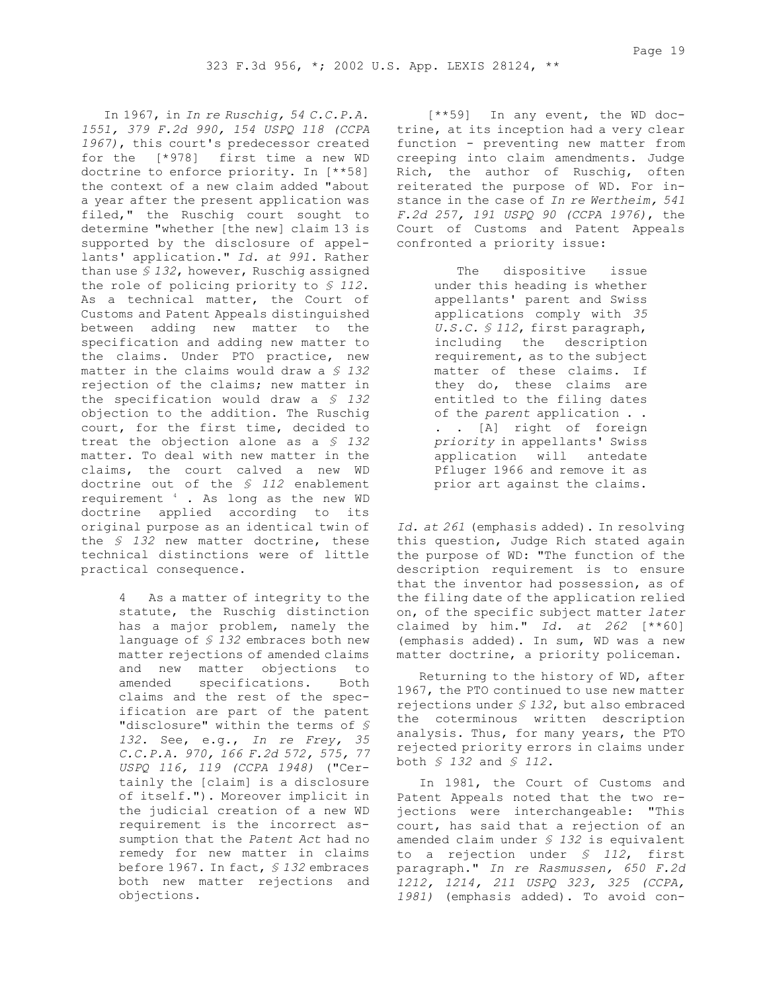In 1967, in *In re Ruschig, 54 C.C.P.A. 1551, 379 F.2d 990, 154 USPQ 118 (CCPA 1967)*, this court's predecessor created for the [\*978] first time a new WD doctrine to enforce priority. In [\*\*58] the context of a new claim added "about a year after the present application was filed," the Ruschig court sought to determine "whether [the new] claim 13 is supported by the disclosure of appellants' application." *Id. at 991*. Rather than use *§ 132*, however, Ruschig assigned the role of policing priority to *§ 112*. As a technical matter, the Court of Customs and Patent Appeals distinguished between adding new matter to the specification and adding new matter to the claims. Under PTO practice, new matter in the claims would draw a *§ 132* rejection of the claims; new matter in the specification would draw a *§ 132* objection to the addition. The Ruschig court, for the first time, decided to treat the objection alone as a *§ 132* matter. To deal with new matter in the claims, the court calved a new WD doctrine out of the *§ 112* enablement requirement 4 . As long as the new WD doctrine applied according to its original purpose as an identical twin of the *§ 132* new matter doctrine, these technical distinctions were of little practical consequence.

> 4 As a matter of integrity to the statute, the Ruschig distinction has a major problem, namely the language of *§ 132* embraces both new matter rejections of amended claims and new matter objections to<br>amended specifications. Both amended specifications. claims and the rest of the specification are part of the patent "disclosure" within the terms of *§ 132*. See, e.g., *In re Frey, 35 C.C.P.A. 970, 166 F.2d 572, 575, 77 USPQ 116, 119 (CCPA 1948)* ("Certainly the [claim] is a disclosure of itself."). Moreover implicit in the judicial creation of a new WD requirement is the incorrect assumption that the *Patent Act* had no remedy for new matter in claims before 1967. In fact, *§ 132* embraces both new matter rejections and objections.

[\*\*59] In any event, the WD doctrine, at its inception had a very clear function - preventing new matter from creeping into claim amendments. Judge Rich, the author of Ruschig, often reiterated the purpose of WD. For instance in the case of *In re Wertheim, 541 F.2d 257, 191 USPQ 90 (CCPA 1976)*, the Court of Customs and Patent Appeals confronted a priority issue:

> The dispositive issue under this heading is whether appellants' parent and Swiss applications comply with *35 U.S.C. § 112*, first paragraph, including the description requirement, as to the subject matter of these claims. If they do, these claims are entitled to the filing dates of the *parent* application . . . . [A] right of foreign *priority* in appellants' Swiss application will antedate Pfluger 1966 and remove it as prior art against the claims.

*Id. at 261* (emphasis added). In resolving this question, Judge Rich stated again the purpose of WD: "The function of the description requirement is to ensure that the inventor had possession, as of the filing date of the application relied on, of the specific subject matter *later* claimed by him." *Id. at 262* [\*\*60] (emphasis added). In sum, WD was a new matter doctrine, a priority policeman.

Returning to the history of WD, after 1967, the PTO continued to use new matter rejections under *§ 132*, but also embraced the coterminous written description analysis. Thus, for many years, the PTO rejected priority errors in claims under both *§ 132* and *§ 112*.

In 1981, the Court of Customs and Patent Appeals noted that the two rejections were interchangeable: "This court, has said that a rejection of an amended claim under *§ 132* is equivalent to a rejection under *§ 112*, first paragraph." *In re Rasmussen, 650 F.2d 1212, 1214, 211 USPQ 323, 325 (CCPA, 1981)* (emphasis added). To avoid con-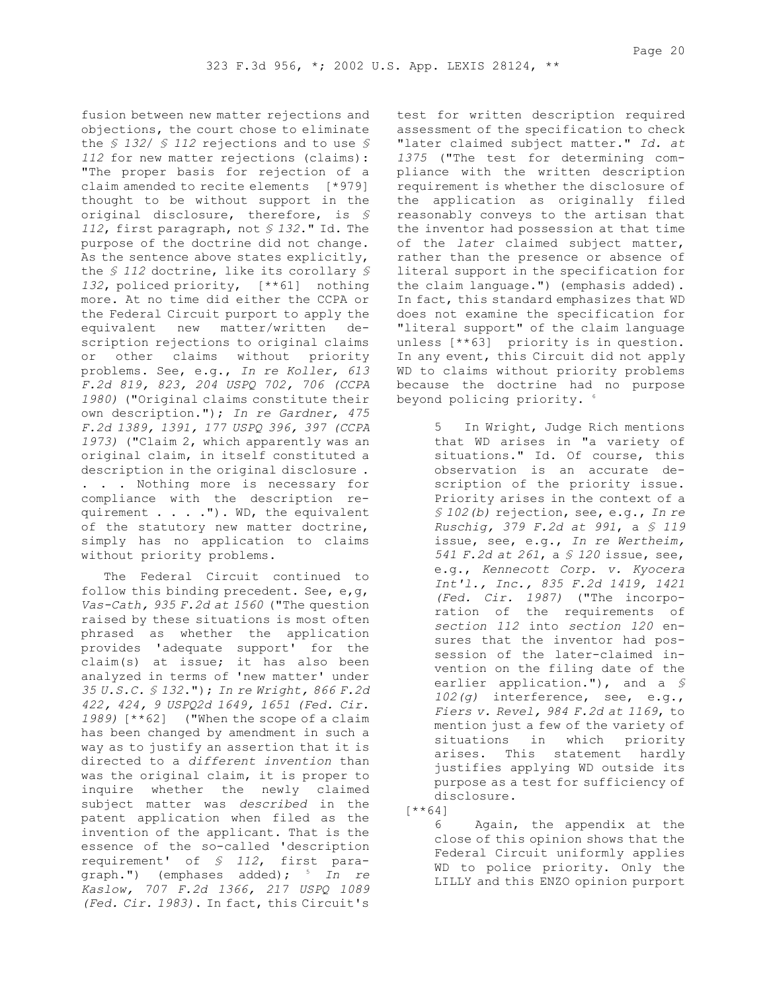fusion between new matter rejections and objections, the court chose to eliminate the *§ 132*/ *§ 112* rejections and to use *§ 112* for new matter rejections (claims): "The proper basis for rejection of a claim amended to recite elements [\*979] thought to be without support in the original disclosure, therefore, is *§ 112*, first paragraph, not *§ 132*." Id. The purpose of the doctrine did not change. As the sentence above states explicitly, the *§ 112* doctrine, like its corollary *§ 132*, policed priority, [\*\*61] nothing more. At no time did either the CCPA or the Federal Circuit purport to apply the equivalent new matter/written description rejections to original claims or other claims without priority problems. See, e.g., *In re Koller, 613 F.2d 819, 823, 204 USPQ 702, 706 (CCPA 1980)* ("Original claims constitute their own description."); *In re Gardner, 475 F.2d 1389, 1391, 177 USPQ 396, 397 (CCPA 1973)* ("Claim 2, which apparently was an original claim, in itself constituted a description in the original disclosure . . . . Nothing more is necessary for compliance with the description requirement . . . . ") . WD, the equivalent of the statutory new matter doctrine, simply has no application to claims without priority problems.

The Federal Circuit continued to follow this binding precedent. See, e,g, *Vas-Cath, 935 F.2d at 1560* ("The question raised by these situations is most often phrased as whether the application provides 'adequate support' for the claim(s) at issue; it has also been analyzed in terms of 'new matter' under *35 U.S.C. § 132*."); *In re Wright, 866 F.2d 422, 424, 9 USPQ2d 1649, 1651 (Fed. Cir. 1989)* [\*\*62] ("When the scope of a claim has been changed by amendment in such a way as to justify an assertion that it is directed to a *different invention* than was the original claim, it is proper to inquire whether the newly claimed subject matter was *described* in the patent application when filed as the invention of the applicant. That is the essence of the so-called 'description requirement' of *§ 112*, first paragraph.") (emphases added); 5 *In re Kaslow, 707 F.2d 1366, 217 USPQ 1089 (Fed. Cir. 1983)*. In fact, this Circuit's

test for written description required assessment of the specification to check "later claimed subject matter." *Id. at 1375* ("The test for determining compliance with the written description requirement is whether the disclosure of the application as originally filed reasonably conveys to the artisan that the inventor had possession at that time of the *later* claimed subject matter, rather than the presence or absence of literal support in the specification for the claim language.") (emphasis added). In fact, this standard emphasizes that WD does not examine the specification for "literal support" of the claim language unless [\*\*63] priority is in question. In any event, this Circuit did not apply WD to claims without priority problems because the doctrine had no purpose beyond policing priority. 6

> 5 In Wright, Judge Rich mentions that WD arises in "a variety of situations." Id. Of course, this observation is an accurate description of the priority issue. Priority arises in the context of a *§ 102(b)* rejection, see, e.g., *In re Ruschig, 379 F.2d at 991*, a *§ 119* issue, see, e.g., *In re Wertheim, 541 F.2d at 261*, a *§ 120* issue, see, e.g., *Kennecott Corp. v. Kyocera Int'l., Inc., 835 F.2d 1419, 1421 (Fed. Cir. 1987)* ("The incorporation of the requirements of *section 112* into *section 120* ensures that the inventor had possession of the later-claimed invention on the filing date of the earlier application."), and a *§ 102(g)* interference, see, e.g., *Fiers v. Revel, 984 F.2d at 1169*, to mention just a few of the variety of situations in which priority arises. This statement hardly justifies applying WD outside its purpose as a test for sufficiency of disclosure.

 ${\scriptsize\begin{bmatrix} * \ * \ 64 \end{bmatrix}}\6$ 

Again, the appendix at the close of this opinion shows that the Federal Circuit uniformly applies WD to police priority. Only the LILLY and this ENZO opinion purport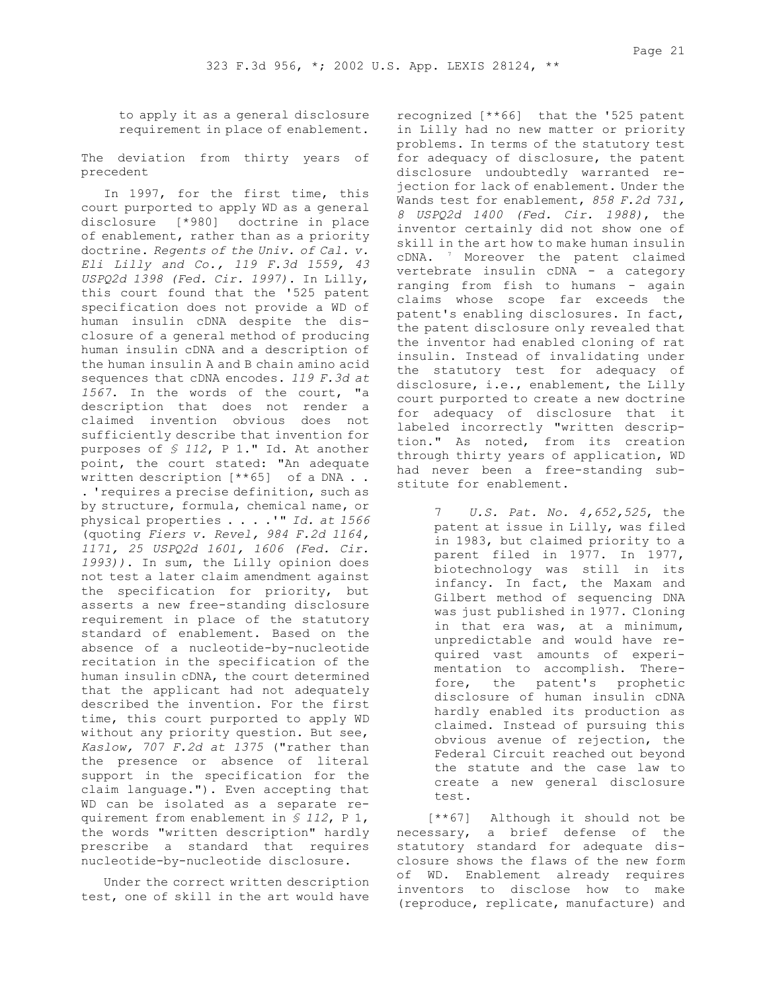to apply it as a general disclosure requirement in place of enablement.

The deviation from thirty years of precedent

In 1997, for the first time, this court purported to apply WD as a general disclosure [\*980] doctrine in place of enablement, rather than as a priority doctrine. *Regents of the Univ. of Cal. v. Eli Lilly and Co., 119 F.3d 1559, 43 USPQ2d 1398 (Fed. Cir. 1997)*. In Lilly, this court found that the '525 patent specification does not provide a WD of human insulin cDNA despite the disclosure of a general method of producing human insulin cDNA and a description of the human insulin A and B chain amino acid sequences that cDNA encodes. *119 F.3d at 1567*. In the words of the court, "a description that does not render a claimed invention obvious does not sufficiently describe that invention for purposes of *§ 112*, P 1." Id. At another point, the court stated: "An adequate written description [\*\*65] of a DNA . . . 'requires a precise definition, such as by structure, formula, chemical name, or physical properties . . . .'" *Id. at 1566* (quoting *Fiers v. Revel, 984 F.2d 1164, 1171, 25 USPQ2d 1601, 1606 (Fed. Cir. 1993))*. In sum, the Lilly opinion does not test a later claim amendment against the specification for priority, but asserts a new free-standing disclosure requirement in place of the statutory standard of enablement. Based on the absence of a nucleotide-by-nucleotide recitation in the specification of the human insulin cDNA, the court determined that the applicant had not adequately described the invention. For the first time, this court purported to apply WD without any priority question. But see, *Kaslow, 707 F.2d at 1375* ("rather than the presence or absence of literal support in the specification for the claim language."). Even accepting that WD can be isolated as a separate requirement from enablement in *§ 112*, P 1, the words "written description" hardly prescribe a standard that requires nucleotide-by-nucleotide disclosure.

Under the correct written description test, one of skill in the art would have

recognized [\*\*66] that the '525 patent in Lilly had no new matter or priority problems. In terms of the statutory test for adequacy of disclosure, the patent disclosure undoubtedly warranted rejection for lack of enablement. Under the Wands test for enablement, *858 F.2d 731, 8 USPQ2d 1400 (Fed. Cir. 1988)*, the inventor certainly did not show one of skill in the art how to make human insulin cDNA. 7 Moreover the patent claimed vertebrate insulin cDNA - a category ranging from fish to humans - again claims whose scope far exceeds the patent's enabling disclosures. In fact, the patent disclosure only revealed that the inventor had enabled cloning of rat insulin. Instead of invalidating under the statutory test for adequacy of disclosure, i.e., enablement, the Lilly court purported to create a new doctrine for adequacy of disclosure that it labeled incorrectly "written description." As noted, from its creation through thirty years of application, WD had never been a free-standing substitute for enablement.

> 7 *U.S. Pat. No. 4,652,525*, the patent at issue in Lilly, was filed in 1983, but claimed priority to a parent filed in 1977. In 1977, biotechnology was still in its infancy. In fact, the Maxam and Gilbert method of sequencing DNA was just published in 1977. Cloning in that era was, at a minimum, unpredictable and would have required vast amounts of experimentation to accomplish. Therefore, the patent's prophetic disclosure of human insulin cDNA hardly enabled its production as claimed. Instead of pursuing this obvious avenue of rejection, the Federal Circuit reached out beyond the statute and the case law to create a new general disclosure test.

[\*\*67] Although it should not be necessary, a brief defense of the statutory standard for adequate disclosure shows the flaws of the new form of WD. Enablement already requires inventors to disclose how to make (reproduce, replicate, manufacture) and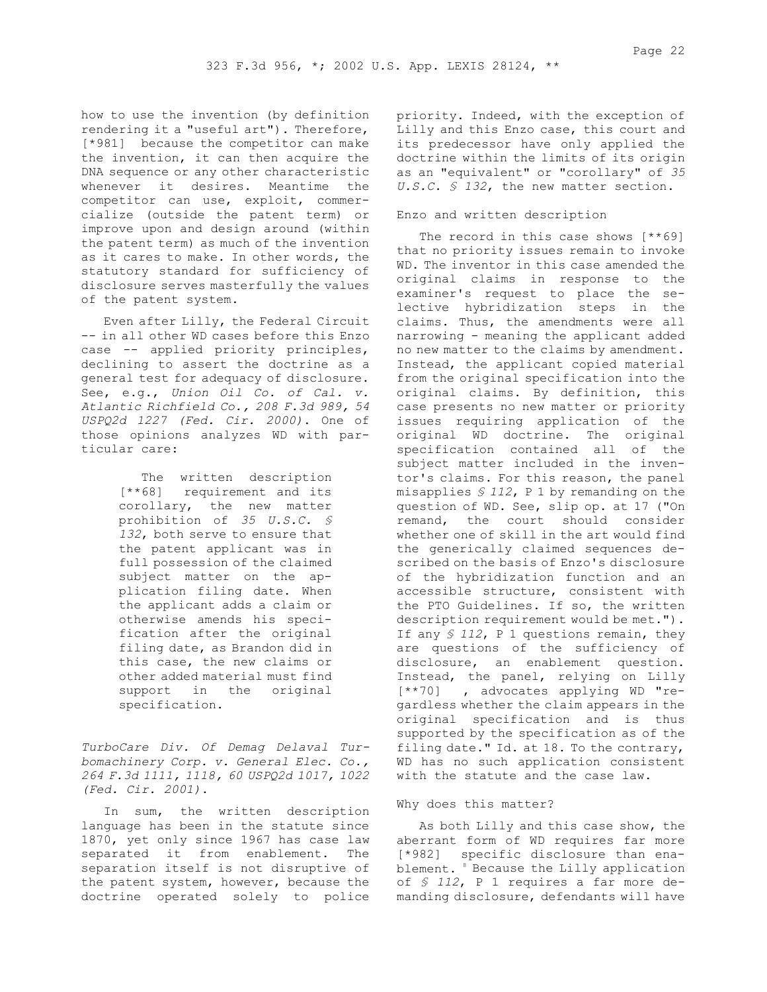how to use the invention (by definition rendering it a "useful art"). Therefore, [\*981] because the competitor can make the invention, it can then acquire the DNA sequence or any other characteristic whenever it desires. Meantime the competitor can use, exploit, commercialize (outside the patent term) or improve upon and design around (within the patent term) as much of the invention as it cares to make. In other words, the statutory standard for sufficiency of disclosure serves masterfully the values of the patent system.

Even after Lilly, the Federal Circuit -- in all other WD cases before this Enzo case -- applied priority principles, declining to assert the doctrine as a general test for adequacy of disclosure. See, e.g., *Union Oil Co. of Cal. v. Atlantic Richfield Co., 208 F.3d 989, 54 USPQ2d 1227 (Fed. Cir. 2000)*. One of those opinions analyzes WD with particular care:

> The written description [\*\*68] requirement and its corollary, the new matter prohibition of *35 U.S.C. § 132*, both serve to ensure that the patent applicant was in full possession of the claimed subject matter on the application filing date. When the applicant adds a claim or otherwise amends his specification after the original filing date, as Brandon did in this case, the new claims or other added material must find support in the original specification.

*TurboCare Div. Of Demag Delaval Turbomachinery Corp. v. General Elec. Co., 264 F.3d 1111, 1118, 60 USPQ2d 1017, 1022 (Fed. Cir. 2001)*.

In sum, the written description language has been in the statute since 1870, yet only since 1967 has case law separated it from enablement. The separation itself is not disruptive of the patent system, however, because the doctrine operated solely to police priority. Indeed, with the exception of Lilly and this Enzo case, this court and its predecessor have only applied the doctrine within the limits of its origin as an "equivalent" or "corollary" of *35 U.S.C. § 132*, the new matter section.

## Enzo and written description

The record in this case shows [\*\*69] that no priority issues remain to invoke WD. The inventor in this case amended the original claims in response to the examiner's request to place the selective hybridization steps in the claims. Thus, the amendments were all narrowing - meaning the applicant added no new matter to the claims by amendment. Instead, the applicant copied material from the original specification into the original claims. By definition, this case presents no new matter or priority issues requiring application of the original WD doctrine. The original specification contained all of the subject matter included in the inventor's claims. For this reason, the panel misapplies *§ 112*, P 1 by remanding on the question of WD. See, slip op. at 17 ("On remand, the court should consider whether one of skill in the art would find the generically claimed sequences described on the basis of Enzo's disclosure of the hybridization function and an accessible structure, consistent with the PTO Guidelines. If so, the written description requirement would be met."). If any *§ 112*, P 1 questions remain, they are questions of the sufficiency of disclosure, an enablement question. Instead, the panel, relying on Lilly [\*\*70] , advocates applying WD "regardless whether the claim appears in the original specification and is thus supported by the specification as of the filing date." Id. at 18. To the contrary, WD has no such application consistent with the statute and the case law.

## Why does this matter?

As both Lilly and this case show, the aberrant form of WD requires far more [\*982] specific disclosure than enablement. <sup>8</sup> Because the Lilly application of *§ 112*, P 1 requires a far more demanding disclosure, defendants will have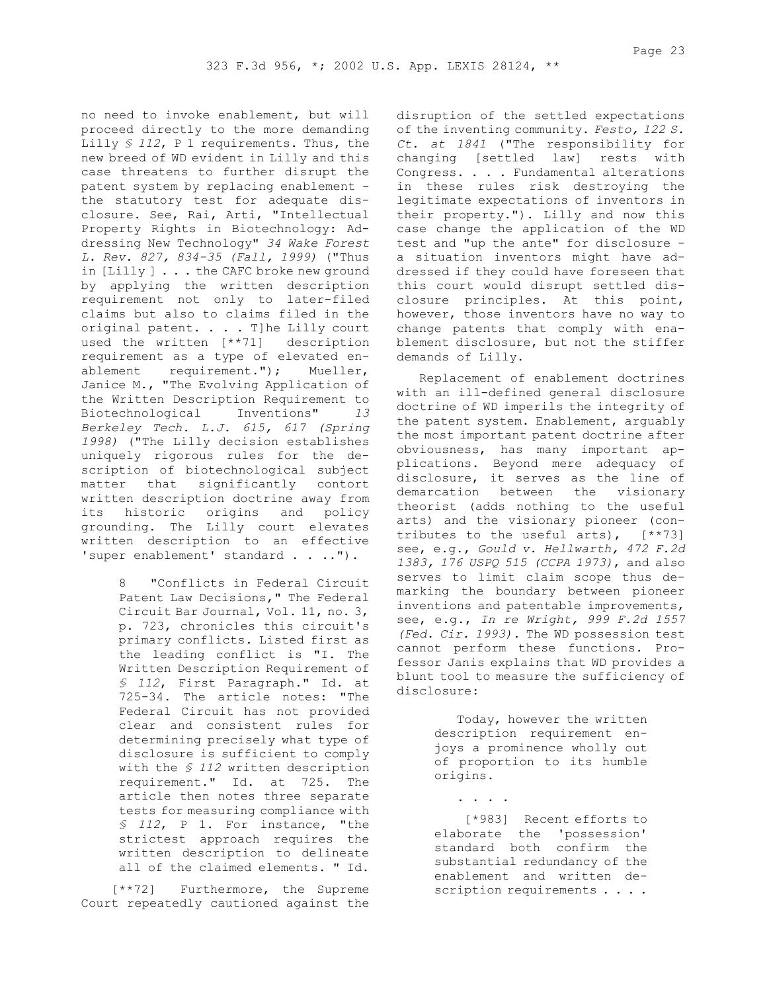no need to invoke enablement, but will proceed directly to the more demanding Lilly *§ 112*, P 1 requirements. Thus, the new breed of WD evident in Lilly and this case threatens to further disrupt the patent system by replacing enablement the statutory test for adequate disclosure. See, Rai, Arti, "Intellectual Property Rights in Biotechnology: Addressing New Technology" *34 Wake Forest L. Rev. 827, 834-35 (Fall, 1999)* ("Thus in [Lilly ] . . . the CAFC broke new ground by applying the written description requirement not only to later-filed claims but also to claims filed in the original patent. . . . T]he Lilly court used the written [\*\*71] description requirement as a type of elevated en-<br>ablement requirement."); Mueller, requirement."); Janice M., "The Evolving Application of the Written Description Requirement to<br>Biotechnological Inventions" 13 Biotechnological *Berkeley Tech. L.J. 615, 617 (Spring 1998)* ("The Lilly decision establishes uniquely rigorous rules for the description of biotechnological subject matter that significantly contort written description doctrine away from its historic origins and policy grounding. The Lilly court elevates written description to an effective 'super enablement' standard . . ..").

> 8 "Conflicts in Federal Circuit Patent Law Decisions," The Federal Circuit Bar Journal, Vol. 11, no. 3, p. 723, chronicles this circuit's primary conflicts. Listed first as the leading conflict is "I. The Written Description Requirement of *§ 112*, First Paragraph." Id. at 725-34. The article notes: "The Federal Circuit has not provided clear and consistent rules for determining precisely what type of disclosure is sufficient to comply with the *§ 112* written description requirement." Id. at 725. The article then notes three separate tests for measuring compliance with *§ 112*, P 1. For instance, "the strictest approach requires the written description to delineate all of the claimed elements. " Id.

[\*\*72] Furthermore, the Supreme Court repeatedly cautioned against the disruption of the settled expectations of the inventing community. *Festo, 122 S. Ct. at 1841* ("The responsibility for changing [settled law] rests with Congress. . . . Fundamental alterations in these rules risk destroying the legitimate expectations of inventors in their property."). Lilly and now this case change the application of the WD test and "up the ante" for disclosure a situation inventors might have addressed if they could have foreseen that this court would disrupt settled disclosure principles. At this point, however, those inventors have no way to change patents that comply with enablement disclosure, but not the stiffer demands of Lilly.

Replacement of enablement doctrines with an ill-defined general disclosure doctrine of WD imperils the integrity of the patent system. Enablement, arguably the most important patent doctrine after obviousness, has many important applications. Beyond mere adequacy of disclosure, it serves as the line of demarcation between the visionary theorist (adds nothing to the useful arts) and the visionary pioneer (contributes to the useful arts), [\*\*73] see, e.g., *Gould v. Hellwarth, 472 F.2d 1383, 176 USPQ 515 (CCPA 1973)*, and also serves to limit claim scope thus demarking the boundary between pioneer inventions and patentable improvements, see, e.g., *In re Wright, 999 F.2d 1557 (Fed. Cir. 1993)*. The WD possession test cannot perform these functions. Professor Janis explains that WD provides a blunt tool to measure the sufficiency of disclosure:

> Today, however the written description requirement enjoys a prominence wholly out of proportion to its humble origins.

> > . . . .

[\*983] Recent efforts to elaborate the 'possession' standard both confirm the substantial redundancy of the enablement and written description requirements . . . .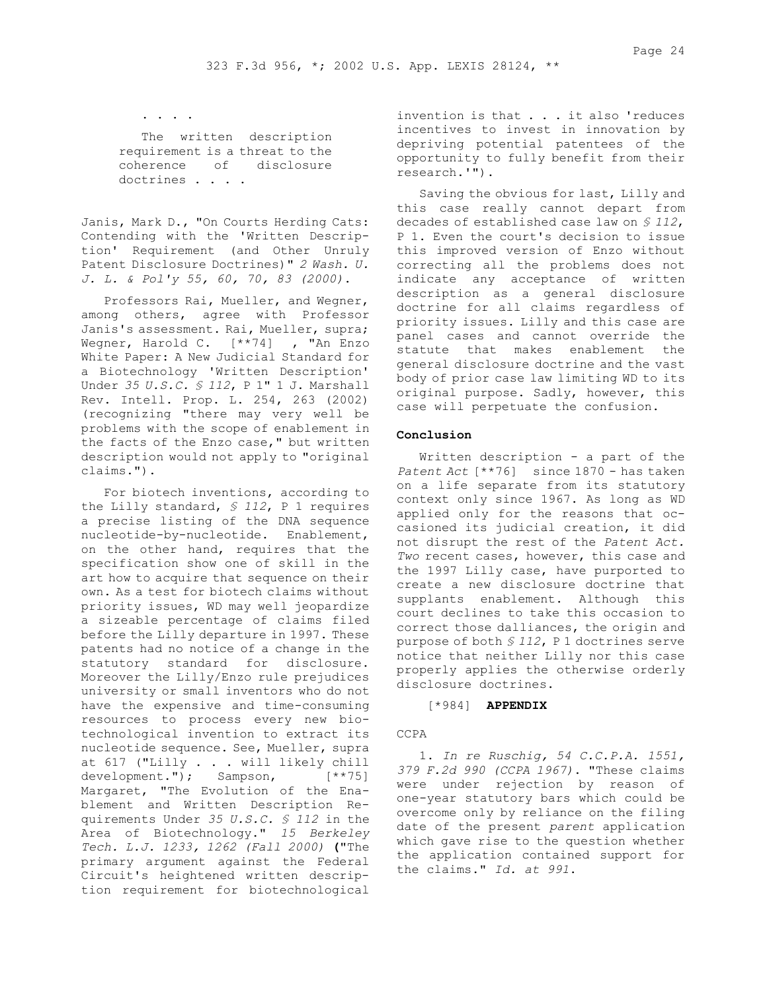. . . .

The written description requirement is a threat to the coherence of disclosure doctrines . . . .

Janis, Mark D., "On Courts Herding Cats: Contending with the 'Written Description' Requirement (and Other Unruly Patent Disclosure Doctrines)" *2 Wash. U. J. L. & Pol'y 55, 60, 70, 83 (2000)*.

Professors Rai, Mueller, and Wegner, among others, agree with Professor Janis's assessment. Rai, Mueller, supra; Wegner, Harold C. [\*\*74] , "An Enzo White Paper: A New Judicial Standard for a Biotechnology 'Written Description' Under *35 U.S.C. § 112*, P 1" 1 J. Marshall Rev. Intell. Prop. L. 254, 263 (2002) (recognizing "there may very well be problems with the scope of enablement in the facts of the Enzo case," but written description would not apply to "original claims.").

For biotech inventions, according to the Lilly standard, *§ 112*, P 1 requires a precise listing of the DNA sequence nucleotide-by-nucleotide. Enablement, on the other hand, requires that the specification show one of skill in the art how to acquire that sequence on their own. As a test for biotech claims without priority issues, WD may well jeopardize a sizeable percentage of claims filed before the Lilly departure in 1997. These patents had no notice of a change in the statutory standard for disclosure. Moreover the Lilly/Enzo rule prejudices university or small inventors who do not have the expensive and time-consuming resources to process every new biotechnological invention to extract its nucleotide sequence. See, Mueller, supra at 617 ("Lilly . . . will likely chill<br>development."); Sampson, [\*\*75] development."); Sampson, Margaret, "The Evolution of the Enablement and Written Description Requirements Under *35 U.S.C. § 112* in the Area of Biotechnology." *15 Berkeley Tech. L.J. 1233, 1262 (Fall 2000)* **(**"The primary argument against the Federal Circuit's heightened written description requirement for biotechnological

invention is that . . . it also 'reduces incentives to invest in innovation by depriving potential patentees of the opportunity to fully benefit from their research.'").

Saving the obvious for last, Lilly and this case really cannot depart from decades of established case law on *§ 112*, P 1. Even the court's decision to issue this improved version of Enzo without correcting all the problems does not indicate any acceptance of written description as a general disclosure doctrine for all claims regardless of priority issues. Lilly and this case are panel cases and cannot override the statute that makes enablement the general disclosure doctrine and the vast body of prior case law limiting WD to its original purpose. Sadly, however, this case will perpetuate the confusion.

# **Conclusion**

Written description - a part of the *Patent Act* [\*\*76] since 1870 - has taken on a life separate from its statutory context only since 1967. As long as WD applied only for the reasons that occasioned its judicial creation, it did not disrupt the rest of the *Patent Act. Two* recent cases, however, this case and the 1997 Lilly case, have purported to create a new disclosure doctrine that supplants enablement. Although this court declines to take this occasion to correct those dalliances, the origin and purpose of both *§ 112*, P 1 doctrines serve notice that neither Lilly nor this case properly applies the otherwise orderly disclosure doctrines.

### [\*984] **APPENDIX**

#### CCPA

1. *In re Ruschig, 54 C.C.P.A. 1551, 379 F.2d 990 (CCPA 1967)*. "These claims were under rejection by reason of one-year statutory bars which could be overcome only by reliance on the filing date of the present *parent* application which gave rise to the question whether the application contained support for the claims." *Id. at 991*.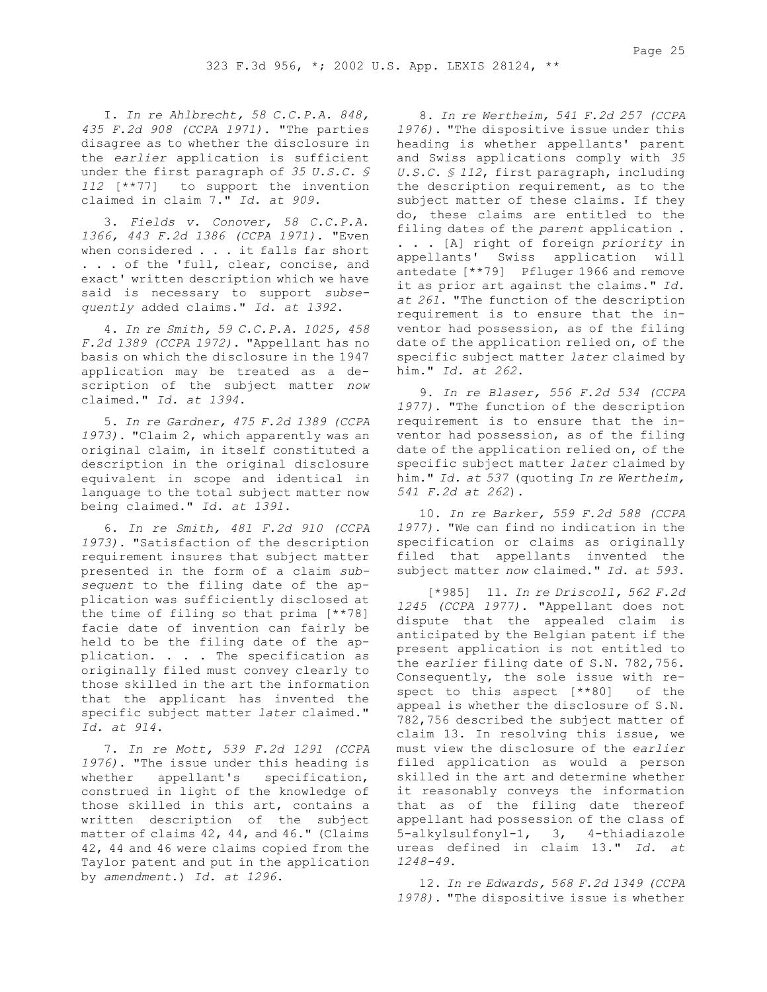I. *In re Ahlbrecht, 58 C.C.P.A. 848, 435 F.2d 908 (CCPA 1971)*. "The parties disagree as to whether the disclosure in the *earlier* application is sufficient under the first paragraph of *35 U.S.C. § 112* [\*\*77] to support the invention claimed in claim 7." *Id. at 909*.

3. *Fields v. Conover, 58 C.C.P.A. 1366, 443 F.2d 1386 (CCPA 1971)*. "Even when considered . . . it falls far short . . . of the 'full, clear, concise, and exact' written description which we have said is necessary to support *subsequently* added claims." *Id. at 1392*.

4. *In re Smith, 59 C.C.P.A. 1025, 458 F.2d 1389 (CCPA 1972)*. "Appellant has no basis on which the disclosure in the 1947 application may be treated as a description of the subject matter *now* claimed." *Id. at 1394*.

5. *In re Gardner, 475 F.2d 1389 (CCPA 1973)*. "Claim 2, which apparently was an original claim, in itself constituted a description in the original disclosure equivalent in scope and identical in language to the total subject matter now being claimed." *Id. at 1391*.

6. *In re Smith, 481 F.2d 910 (CCPA 1973)*. "Satisfaction of the description requirement insures that subject matter presented in the form of a claim *subsequent* to the filing date of the application was sufficiently disclosed at the time of filing so that prima [\*\*78] facie date of invention can fairly be held to be the filing date of the application. . . . The specification as originally filed must convey clearly to those skilled in the art the information that the applicant has invented the specific subject matter *later* claimed." *Id. at 914*.

7. *In re Mott, 539 F.2d 1291 (CCPA 1976)*. "The issue under this heading is appellant's specification, construed in light of the knowledge of those skilled in this art, contains a written description of the subject matter of claims 42, 44, and 46." (Claims 42, 44 and 46 were claims copied from the Taylor patent and put in the application by *amendment*.) *Id. at 1296*.

8. *In re Wertheim, 541 F.2d 257 (CCPA 1976)*. "The dispositive issue under this heading is whether appellants' parent and Swiss applications comply with *35 U.S.C. § 112*, first paragraph, including the description requirement, as to the subject matter of these claims. If they do, these claims are entitled to the filing dates of the *parent* application . . . . [A] right of foreign *priority* in appellants' Swiss application will antedate [\*\*79] Pfluger 1966 and remove it as prior art against the claims." *Id. at 261*. "The function of the description requirement is to ensure that the inventor had possession, as of the filing date of the application relied on, of the specific subject matter *later* claimed by him." *Id. at 262*.

9. *In re Blaser, 556 F.2d 534 (CCPA 1977)*. "The function of the description requirement is to ensure that the inventor had possession, as of the filing date of the application relied on, of the specific subject matter *later* claimed by him." *Id. at 537* (quoting *In re Wertheim, 541 F.2d at 262*).

10. *In re Barker, 559 F.2d 588 (CCPA 1977)*. "We can find no indication in the specification or claims as originally filed that appellants invented the subject matter *now* claimed." *Id. at 593*.

[\*985] 11. *In re Driscoll, 562 F.2d 1245 (CCPA 1977)*. "Appellant does not dispute that the appealed claim is anticipated by the Belgian patent if the present application is not entitled to the *earlier* filing date of S.N. 782,756. Consequently, the sole issue with respect to this aspect [\*\*80] of the appeal is whether the disclosure of S.N. 782,756 described the subject matter of claim 13. In resolving this issue, we must view the disclosure of the *earlier* filed application as would a person skilled in the art and determine whether it reasonably conveys the information that as of the filing date thereof appellant had possession of the class of 5-alkylsulfonyl-1, 3, 4-thiadiazole ureas defined in claim 13." *Id. at 1248-49*.

12. *In re Edwards, 568 F.2d 1349 (CCPA 1978)*. "The dispositive issue is whether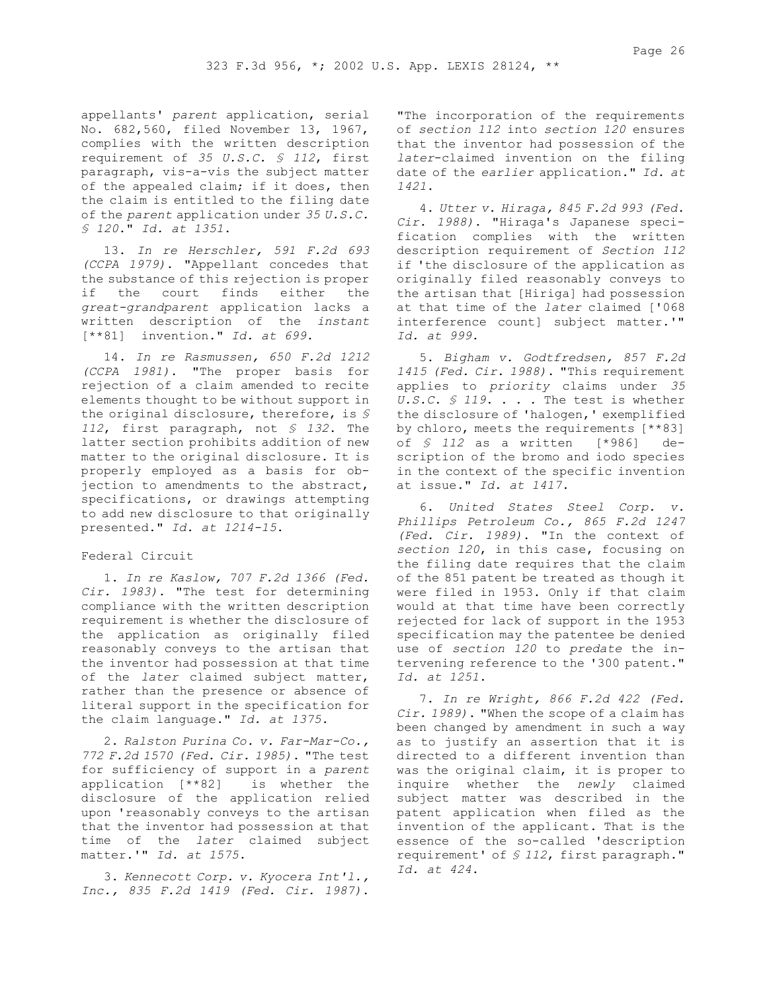appellants' *parent* application, serial No. 682,560, filed November 13, 1967, complies with the written description requirement of *35 U.S.C. § 112*, first paragraph, vis-a-vis the subject matter of the appealed claim; if it does, then the claim is entitled to the filing date of the *parent* application under *35 U.S.C. § 120*." *Id. at 1351*.

13. *In re Herschler, 591 F.2d 693 (CCPA 1979)*. "Appellant concedes that the substance of this rejection is proper<br>if the court finds either the the court finds either the *great-grandparent* application lacks a written description of the *instant* [\*\*81] invention." *Id. at 699*.

14. *In re Rasmussen, 650 F.2d 1212 (CCPA 1981)*. "The proper basis for rejection of a claim amended to recite elements thought to be without support in the original disclosure, therefore, is *§ 112*, first paragraph, not *§ 132*. The latter section prohibits addition of new matter to the original disclosure. It is properly employed as a basis for objection to amendments to the abstract, specifications, or drawings attempting to add new disclosure to that originally presented." *Id. at 1214-15*.

# Federal Circuit

1. *In re Kaslow, 707 F.2d 1366 (Fed. Cir. 1983)*. "The test for determining compliance with the written description requirement is whether the disclosure of the application as originally filed reasonably conveys to the artisan that the inventor had possession at that time of the *later* claimed subject matter, rather than the presence or absence of literal support in the specification for the claim language." *Id. at 1375*.

2. *Ralston Purina Co. v. Far-Mar-Co., 772 F.2d 1570 (Fed. Cir. 1985)*. "The test for sufficiency of support in a *parent* application [\*\*82] is whether the disclosure of the application relied upon 'reasonably conveys to the artisan that the inventor had possession at that time of the *later* claimed subject matter.'" *Id. at 1575*.

3. *Kennecott Corp. v. Kyocera Int'l., Inc., 835 F.2d 1419 (Fed. Cir. 1987)*.

"The incorporation of the requirements of *section 112* into *section 120* ensures that the inventor had possession of the *later*-claimed invention on the filing date of the *earlier* application." *Id. at 1421*.

4. *Utter v. Hiraga, 845 F.2d 993 (Fed. Cir. 1988)*. "Hiraga's Japanese specification complies with the written description requirement of *Section 112* if 'the disclosure of the application as originally filed reasonably conveys to the artisan that [Hiriga] had possession at that time of the *later* claimed ['068 interference count] subject matter.'" *Id. at 999*.

5. *Bigham v. Godtfredsen, 857 F.2d 1415 (Fed. Cir. 1988)*. "This requirement applies to *priority* claims under *35 U.S.C. § 119*. . . . The test is whether the disclosure of 'halogen,' exemplified by chloro, meets the requirements  $[**83]$ <br>of  $$112$  as a written  $[**986]$  deof *§ 112* as a written [\*986] scription of the bromo and iodo species in the context of the specific invention at issue." *Id. at 1417*.

6. *United States Steel Corp. v. Phillips Petroleum Co., 865 F.2d 1247 (Fed. Cir. 1989)*. "In the context of *section 120*, in this case, focusing on the filing date requires that the claim of the 851 patent be treated as though it were filed in 1953. Only if that claim would at that time have been correctly rejected for lack of support in the 1953 specification may the patentee be denied use of *section 120* to *predate* the intervening reference to the '300 patent." *Id. at 1251*.

7. *In re Wright, 866 F.2d 422 (Fed. Cir. 1989)*. "When the scope of a claim has been changed by amendment in such a way as to justify an assertion that it is directed to a different invention than was the original claim, it is proper to inquire whether the *newly* claimed subject matter was described in the patent application when filed as the invention of the applicant. That is the essence of the so-called 'description requirement' of *§ 112*, first paragraph." *Id. at 424*.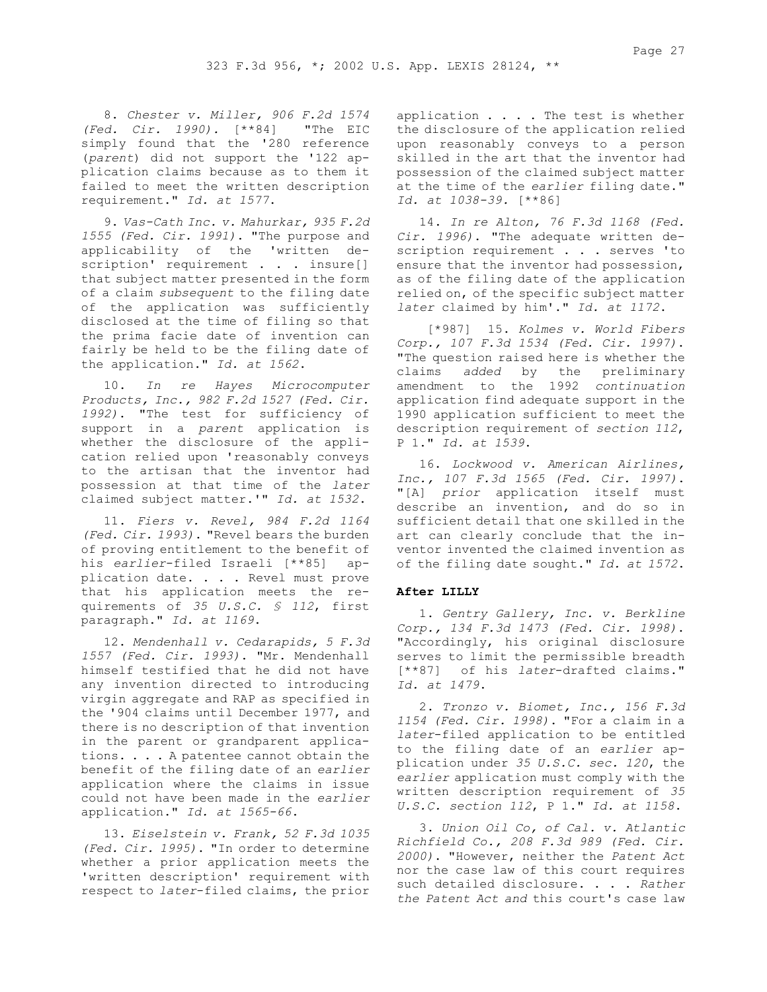8. *Chester v. Miller, 906 F.2d 1574 (Fed. Cir. 1990).* [\*\*84] "The EIC simply found that the '280 reference (*parent*) did not support the '122 application claims because as to them it failed to meet the written description requirement." *Id. at 1577*.

9. *Vas-Cath Inc. v. Mahurkar, 935 F.2d 1555 (Fed. Cir. 1991)*. "The purpose and applicability of the 'written description' requirement . . . insure[] that subject matter presented in the form of a claim *subsequent* to the filing date of the application was sufficiently disclosed at the time of filing so that the prima facie date of invention can fairly be held to be the filing date of the application." *Id. at 1562*.

10. *In re Hayes Microcomputer Products, Inc., 982 F.2d 1527 (Fed. Cir. 1992)*. "The test for sufficiency of support in a *parent* application is whether the disclosure of the application relied upon 'reasonably conveys to the artisan that the inventor had possession at that time of the *later* claimed subject matter.'" *Id. at 1532*.

11. *Fiers v. Revel, 984 F.2d 1164 (Fed. Cir. 1993)*. "Revel bears the burden of proving entitlement to the benefit of his *earlier*-filed Israeli [\*\*85] application date. . . . Revel must prove that his application meets the requirements of *35 U.S.C. § 112*, first paragraph." *Id. at 1169*.

12. *Mendenhall v. Cedarapids, 5 F.3d 1557 (Fed. Cir. 1993)*. "Mr. Mendenhall himself testified that he did not have any invention directed to introducing virgin aggregate and RAP as specified in the '904 claims until December 1977, and there is no description of that invention in the parent or grandparent applications. . . . A patentee cannot obtain the benefit of the filing date of an *earlier* application where the claims in issue could not have been made in the *earlier* application." *Id. at 1565-66*.

13. *Eiselstein v. Frank, 52 F.3d 1035 (Fed. Cir. 1995)*. "In order to determine whether a prior application meets the 'written description' requirement with respect to *later*-filed claims, the prior application . . . . The test is whether the disclosure of the application relied upon reasonably conveys to a person skilled in the art that the inventor had possession of the claimed subject matter at the time of the *earlier* filing date." *Id. at 1038-39.* [\*\*86]

14. *In re Alton, 76 F.3d 1168 (Fed. Cir. 1996)*. "The adequate written description requirement . . . serves 'to ensure that the inventor had possession, as of the filing date of the application relied on, of the specific subject matter *later* claimed by him'." *Id. at 1172*.

[\*987] 15. *Kolmes v. World Fibers Corp., 107 F.3d 1534 (Fed. Cir. 1997)*. "The question raised here is whether the claims *added* by the preliminary amendment to the 1992 *continuation* application find adequate support in the 1990 application sufficient to meet the description requirement of *section 112*, P 1." *Id. at 1539*.

16. *Lockwood v. American Airlines, Inc., 107 F.3d 1565 (Fed. Cir. 1997)*. "[A] *prior* application itself must describe an invention, and do so in sufficient detail that one skilled in the art can clearly conclude that the inventor invented the claimed invention as of the filing date sought." *Id. at 1572*.

## **After LILLY**

1. *Gentry Gallery, Inc. v. Berkline Corp., 134 F.3d 1473 (Fed. Cir. 1998)*. "Accordingly, his original disclosure serves to limit the permissible breadth [\*\*87] of his *later*-drafted claims." *Id. at 1479*.

2. *Tronzo v. Biomet, Inc., 156 F.3d 1154 (Fed. Cir. 1998)*. "For a claim in a *later*-filed application to be entitled to the filing date of an *earlier* application under *35 U.S.C. sec. 120*, the *earlier* application must comply with the written description requirement of *35 U.S.C. section 112*, P 1." *Id. at 1158*.

3. *Union Oil Co, of Cal. v. Atlantic Richfield Co., 208 F.3d 989 (Fed. Cir. 2000)*. "However, neither the *Patent Act* nor the case law of this court requires such detailed disclosure. . . . *Rather the Patent Act and* this court's case law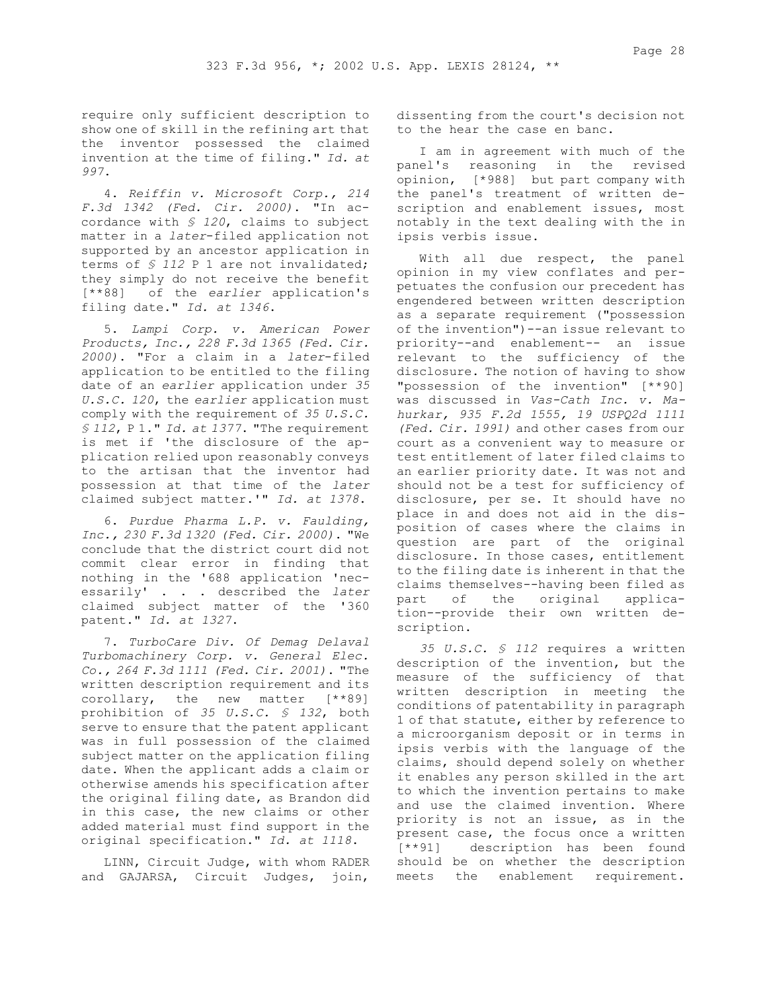require only sufficient description to show one of skill in the refining art that the inventor possessed the claimed invention at the time of filing." *Id. at 997*.

4. *Reiffin v. Microsoft Corp., 214 F.3d 1342 (Fed. Cir. 2000)*. "In accordance with *§ 120*, claims to subject matter in a *later*-filed application not supported by an ancestor application in terms of *§ 112* P 1 are not invalidated; they simply do not receive the benefit [\*\*88] of the *earlier* application's filing date." *Id. at 1346*.

5. *Lampi Corp. v. American Power Products, Inc., 228 F.3d 1365 (Fed. Cir. 2000)*. "For a claim in a *later*-filed application to be entitled to the filing date of an *earlier* application under *35 U.S.C. 120*, the *earlier* application must comply with the requirement of *35 U.S.C. § 112*, P 1." *Id. at 1377*. "The requirement is met if 'the disclosure of the application relied upon reasonably conveys to the artisan that the inventor had possession at that time of the *later* claimed subject matter.'" *Id. at 1378*.

6. *Purdue Pharma L.P. v. Faulding, Inc., 230 F.3d 1320 (Fed. Cir. 2000)*. "We conclude that the district court did not commit clear error in finding that nothing in the '688 application 'necessarily' . . . described the *later* claimed subject matter of the '360 patent." *Id. at 1327*.

7. *TurboCare Div. Of Demag Delaval Turbomachinery Corp. v. General Elec. Co., 264 F.3d 1111 (Fed. Cir. 2001)*. "The written description requirement and its corollary, the new matter [\*\*89] prohibition of *35 U.S.C. § 132*, both serve to ensure that the patent applicant was in full possession of the claimed subject matter on the application filing date. When the applicant adds a claim or otherwise amends his specification after the original filing date, as Brandon did in this case, the new claims or other added material must find support in the original specification." *Id. at 1118*.

LINN, Circuit Judge, with whom RADER and GAJARSA, Circuit Judges, join,

dissenting from the court's decision not to the hear the case en banc.

I am in agreement with much of the panel's reasoning in the revised opinion, [\*988] but part company with the panel's treatment of written description and enablement issues, most notably in the text dealing with the in ipsis verbis issue.

With all due respect, the panel opinion in my view conflates and perpetuates the confusion our precedent has engendered between written description as a separate requirement ("possession of the invention")--an issue relevant to priority--and enablement-- an issue relevant to the sufficiency of the disclosure. The notion of having to show "possession of the invention" [\*\*90] was discussed in *Vas-Cath Inc. v. Mahurkar, 935 F.2d 1555, 19 USPQ2d 1111 (Fed. Cir. 1991)* and other cases from our court as a convenient way to measure or test entitlement of later filed claims to an earlier priority date. It was not and should not be a test for sufficiency of disclosure, per se. It should have no place in and does not aid in the disposition of cases where the claims in question are part of the original disclosure. In those cases, entitlement to the filing date is inherent in that the claims themselves--having been filed as<br>part of the original applicaof the original tion--provide their own written description.

*35 U.S.C. § 112* requires a written description of the invention, but the measure of the sufficiency of that written description in meeting the conditions of patentability in paragraph 1 of that statute, either by reference to a microorganism deposit or in terms in ipsis verbis with the language of the claims, should depend solely on whether it enables any person skilled in the art to which the invention pertains to make and use the claimed invention. Where priority is not an issue, as in the present case, the focus once a written [\*\*91] description has been found should be on whether the description meets the enablement requirement.